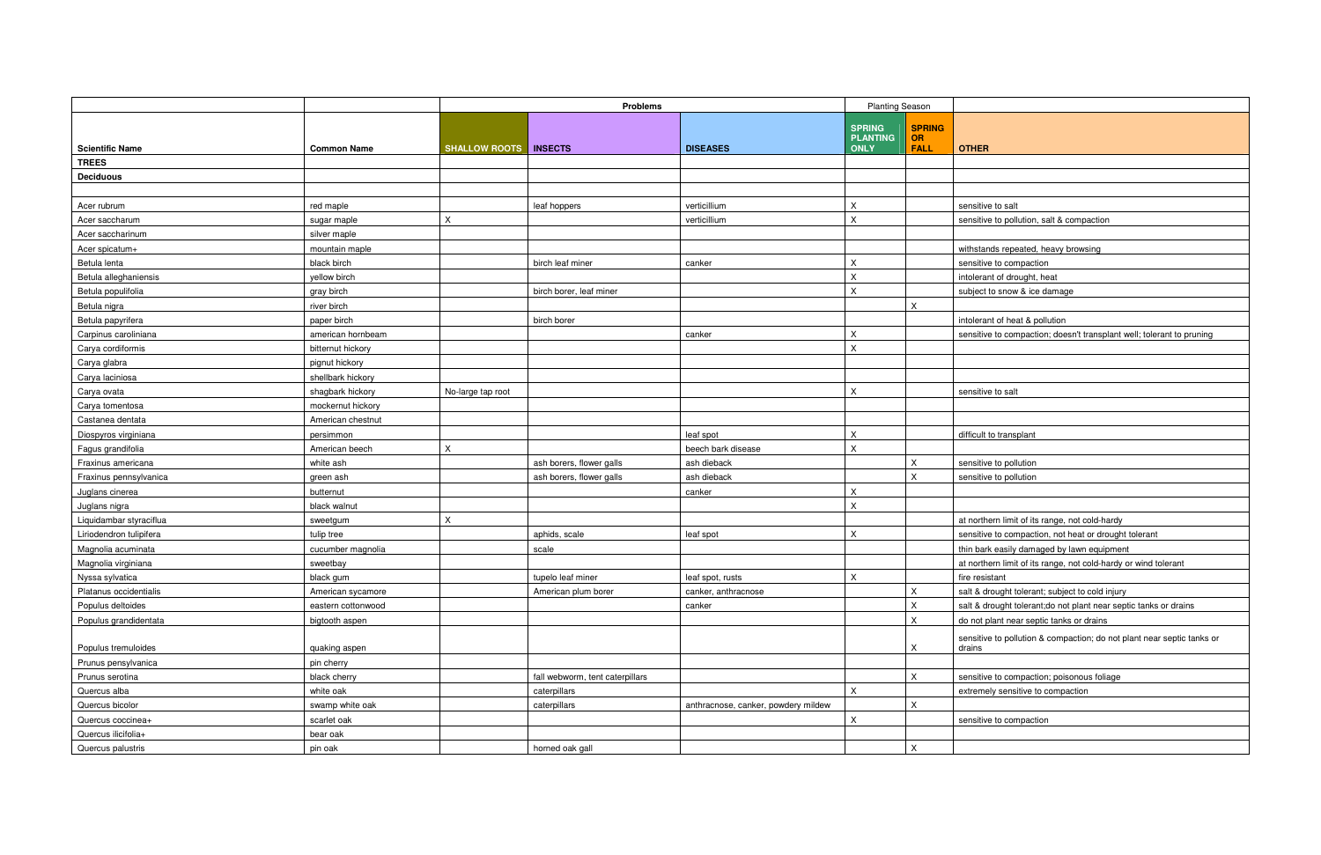|                         |                    | <b>Problems</b>      |                                 | <b>Planting Season</b>              |                                  |                            |                               |
|-------------------------|--------------------|----------------------|---------------------------------|-------------------------------------|----------------------------------|----------------------------|-------------------------------|
|                         |                    |                      |                                 |                                     | <b>SPRING</b><br><b>PLANTING</b> | <b>SPRING</b><br><b>OR</b> |                               |
| <b>Scientific Name</b>  | <b>Common Name</b> | <b>SHALLOW ROOTS</b> | <b>INSECTS</b>                  | <b>DISEASES</b>                     | <b>ONLY</b>                      | <b>FALL</b>                | <b>OTHER</b>                  |
| <b>TREES</b>            |                    |                      |                                 |                                     |                                  |                            |                               |
| <b>Deciduous</b>        |                    |                      |                                 |                                     |                                  |                            |                               |
|                         |                    |                      |                                 |                                     |                                  |                            |                               |
| Acer rubrum             | red maple          |                      | leaf hoppers                    | verticillium                        | $\mathsf X$                      |                            | sensitive to salt             |
| Acer saccharum          | sugar maple        | X                    |                                 | verticillium                        | $\mathsf X$                      |                            | sensitive to pollution, salt  |
| Acer saccharinum        | silver maple       |                      |                                 |                                     |                                  |                            |                               |
| Acer spicatum+          | mountain maple     |                      |                                 |                                     |                                  |                            | withstands repeated, hea      |
| Betula lenta            | black birch        |                      | birch leaf miner                | canker                              | $\pmb{\times}$                   |                            | sensitive to compaction       |
| Betula alleghaniensis   | vellow birch       |                      |                                 |                                     | X                                |                            | intolerant of drought, heat   |
| Betula populifolia      | gray birch         |                      | birch borer, leaf miner         |                                     | $\mathsf X$                      |                            | subject to snow & ice dan     |
| Betula nigra            | river birch        |                      |                                 |                                     |                                  | $\mathsf{X}$               |                               |
| Betula papyrifera       | paper birch        |                      | birch borer                     |                                     |                                  |                            | intolerant of heat & polluti  |
| Carpinus caroliniana    | american hornbeam  |                      |                                 | canker                              | $\mathsf X$                      |                            | sensitive to compaction; o    |
| Carya cordiformis       | bitternut hickory  |                      |                                 |                                     | $\mathsf X$                      |                            |                               |
| Carya glabra            | pignut hickory     |                      |                                 |                                     |                                  |                            |                               |
| Carya laciniosa         | shellbark hickory  |                      |                                 |                                     |                                  |                            |                               |
| Carya ovata             | shagbark hickory   | No-large tap root    |                                 |                                     | X                                |                            | sensitive to salt             |
| Carya tomentosa         | mockernut hickory  |                      |                                 |                                     |                                  |                            |                               |
| Castanea dentata        | American chestnut  |                      |                                 |                                     |                                  |                            |                               |
| Diospyros virginiana    | persimmon          |                      |                                 | leaf spot                           | X                                |                            | difficult to transplant       |
| Fagus grandifolia       | American beech     | $\pmb{\mathsf{X}}$   |                                 | beech bark disease                  | X                                |                            |                               |
| Fraxinus americana      | white ash          |                      | ash borers, flower galls        | ash dieback                         |                                  | X                          | sensitive to pollution        |
| Fraxinus pennsylvanica  | green ash          |                      | ash borers, flower galls        | ash dieback                         |                                  | X                          | sensitive to pollution        |
| Juglans cinerea         | butternut          |                      |                                 | canker                              | $\sf X$                          |                            |                               |
| Juglans nigra           | black walnut       |                      |                                 |                                     | X                                |                            |                               |
| Liquidambar styraciflua | sweetgum           | $\pmb{\mathsf{X}}$   |                                 |                                     |                                  |                            | at northern limit of its rang |
| Liriodendron tulipifera | tulip tree         |                      | aphids, scale                   | leaf spot                           | $\mathsf X$                      |                            | sensitive to compaction, r    |
| Magnolia acuminata      | cucumber magnolia  |                      | scale                           |                                     |                                  |                            | thin bark easily damaged      |
| Magnolia virginiana     | sweetbay           |                      |                                 |                                     |                                  |                            | at northern limit of its rang |
| Nyssa sylvatica         | black gum          |                      | tupelo leaf miner               | leaf spot, rusts                    | $\boldsymbol{\mathsf{X}}$        |                            | fire resistant                |
| Platanus occidentialis  | American sycamore  |                      | American plum borer             | canker, anthracnose                 |                                  | $\mathsf X$                | salt & drought tolerant; su   |
| Populus deltoides       | eastern cottonwood |                      |                                 | canker                              |                                  | $\mathsf X$                | salt & drought tolerant;do    |
| Populus grandidentata   | bigtooth aspen     |                      |                                 |                                     |                                  | $\mathsf{X}^-$             | do not plant near septic ta   |
|                         |                    |                      |                                 |                                     |                                  |                            | sensitive to pollution & co   |
| Populus tremuloides     | quaking aspen      |                      |                                 |                                     |                                  | X                          | drains                        |
| Prunus pensylvanica     | pin cherry         |                      |                                 |                                     |                                  |                            |                               |
| Prunus serotina         | black cherry       |                      | fall webworm, tent caterpillars |                                     |                                  | $\mathsf{X}$               | sensitive to compaction; p    |
| Quercus alba            | white oak          |                      | caterpillars                    |                                     | $\mathsf X$                      |                            | extremely sensitive to cor    |
| Quercus bicolor         | swamp white oak    |                      | caterpillars                    | anthracnose, canker, powdery mildew |                                  | $\mathsf X$                |                               |
| Quercus coccinea+       | scarlet oak        |                      |                                 |                                     | $\mathsf X$                      |                            | sensitive to compaction       |
| Quercus ilicifolia+     | bear oak           |                      |                                 |                                     |                                  |                            |                               |
| Quercus palustris       | pin oak            |                      | horned oak gall                 |                                     |                                  | $\mathsf X$                |                               |

ensitive to pollution, salt & compaction

thstands repeated, heavy browsing

bject to snow & ice damage

tolerant of heat & pollution

ensitive to compaction; doesn't transplant well; tolerant to pruning

northern limit of its range, not cold-hardy

 $t$ nsitive to compaction, not heat or drought tolerant

in bark easily damaged by lawn equipment

northern limit of its range, not cold-hardy or wind tolerant

ilt & drought tolerant; subject to cold injury

llt & drought tolerant;do not plant near septic tanks or drains

portion plant near septic tanks or drains

sensitive to pollution & compaction; do not plant near septic tanks or

 $ensitive$  to compaction; poisonous foliage

tremely sensitive to compaction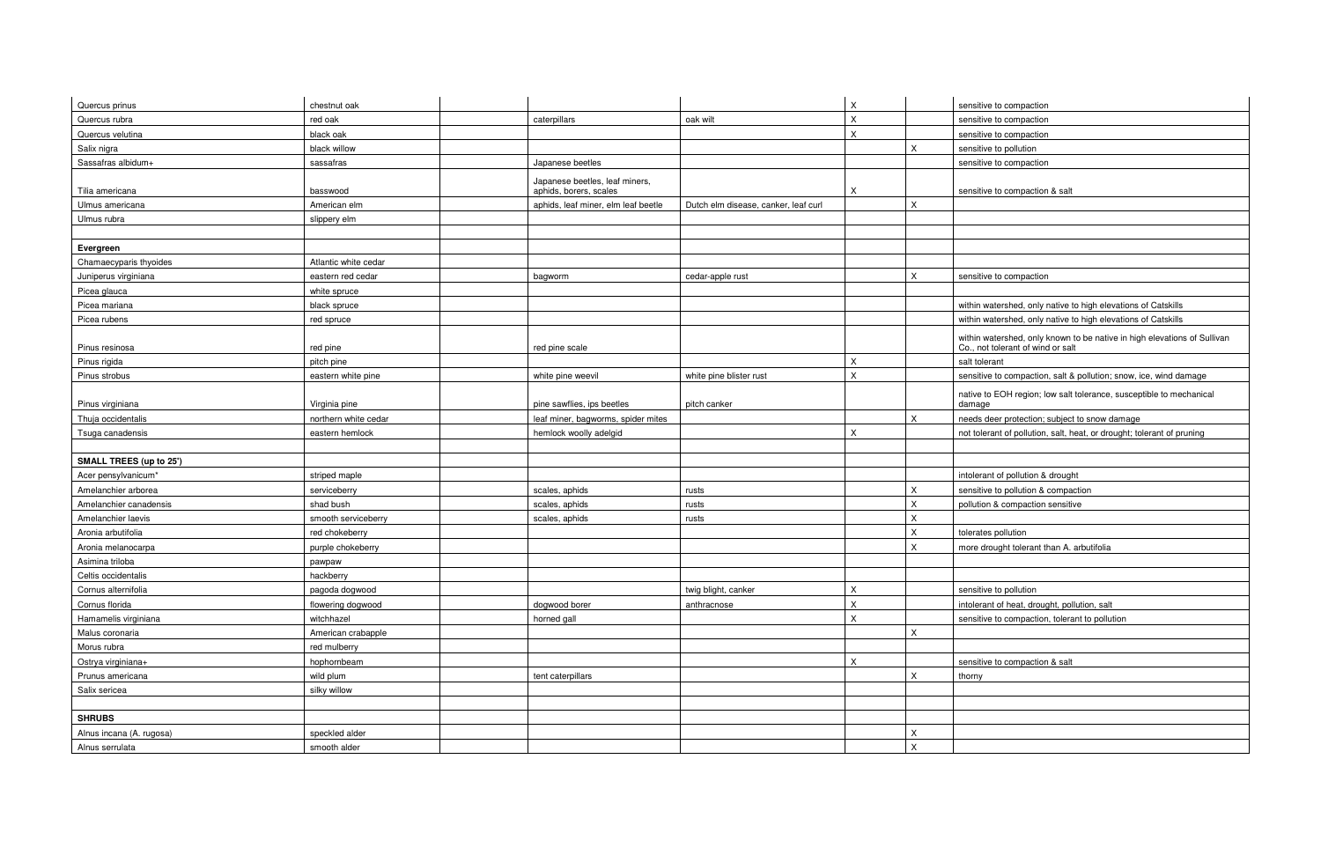native to EOH region; low salt tolerance, susceptible to mechanical amage

eds deer protection; subject to snow damage

ot tolerant of pollution, salt, heat, or drought; tolerant of pruning

tolerant of pollution & drought

ensitive to pollution & compaction

bllution & compaction sensitive

ore drought tolerant than A. arbutifolia

folerant of heat, drought, pollution, salt ensitive to compaction, tolerant to pollution

msitive to compaction & salt

within watershed, only known to be native in high elevations of Sullivan Co., not tolerant of wind or salt

ensitive to compaction, salt & pollution; snow, ice, wind damage

| Quercus prinus                 | chestnut oak         |                                                          |                                      | $\mathsf X$        | sensitive to compaction    |
|--------------------------------|----------------------|----------------------------------------------------------|--------------------------------------|--------------------|----------------------------|
| Quercus rubra                  | red oak              | caterpillars                                             | oak wilt                             | $\mathsf X$        | sensitive to compaction    |
| Quercus velutina               | black oak            |                                                          |                                      | X                  | sensitive to compaction    |
| Salix nigra                    | black willow         |                                                          |                                      | X                  | sensitive to pollution     |
| Sassafras albidum+             | sassafras            | Japanese beetles                                         |                                      |                    | sensitive to compaction    |
| Tilia americana                | basswood             | Japanese beetles, leaf miners,<br>aphids, borers, scales |                                      | X                  | sensitive to compaction    |
| Ulmus americana                | American elm         | aphids, leaf miner, elm leaf beetle                      | Dutch elm disease, canker, leaf curl | $\pmb{\times}$     |                            |
| Ulmus rubra                    | slippery elm         |                                                          |                                      |                    |                            |
|                                |                      |                                                          |                                      |                    |                            |
| Evergreen                      |                      |                                                          |                                      |                    |                            |
| Chamaecyparis thyoides         | Atlantic white cedar |                                                          |                                      |                    |                            |
| Juniperus virginiana           | eastern red cedar    | bagworm                                                  | cedar-apple rust                     | X                  | sensitive to compaction    |
| Picea glauca                   | white spruce         |                                                          |                                      |                    |                            |
| Picea mariana                  | black spruce         |                                                          |                                      |                    | within watershed, only     |
| Picea rubens                   | red spruce           |                                                          |                                      |                    | within watershed, only     |
|                                |                      |                                                          |                                      |                    | within watershed, only I   |
| Pinus resinosa                 | red pine             | red pine scale                                           |                                      |                    | Co., not tolerant of wind  |
| Pinus rigida                   | pitch pine           |                                                          |                                      | $\mathsf X$        | salt tolerant              |
| Pinus strobus                  | eastern white pine   | white pine weevil                                        | white pine blister rust              | $\mathsf X$        | sensitive to compaction    |
|                                |                      |                                                          |                                      |                    | native to EOH region; lo   |
| Pinus virginiana               | Virginia pine        | pine sawflies, ips beetles                               | pitch canker                         |                    | damage                     |
| Thuja occidentalis             | northern white cedar | leaf miner, bagworms, spider mites                       |                                      | X                  | needs deer protection;     |
| Tsuga canadensis               | eastern hemlock      | hemlock woolly adelgid                                   |                                      | $\mathsf X$        | not tolerant of pollution, |
|                                |                      |                                                          |                                      |                    |                            |
| <b>SMALL TREES (up to 25')</b> |                      |                                                          |                                      |                    |                            |
| Acer pensylvanicum*            | striped maple        |                                                          |                                      |                    | intolerant of pollution &  |
| Amelanchier arborea            | serviceberry         | scales, aphids                                           | rusts                                | Χ                  | sensitive to pollution &   |
| Amelanchier canadensis         | shad bush            | scales, aphids                                           | rusts                                | $\pmb{\mathsf{X}}$ | pollution & compaction     |
| Amelanchier laevis             | smooth serviceberry  | scales, aphids                                           | rusts                                | X                  |                            |
| Aronia arbutifolia             | red chokeberry       |                                                          |                                      | X                  | tolerates pollution        |
| Aronia melanocarpa             | purple chokeberry    |                                                          |                                      | X                  | more drought tolerant tl   |
| Asimina triloba                | pawpaw               |                                                          |                                      |                    |                            |
| Celtis occidentalis            | hackberry            |                                                          |                                      |                    |                            |
| Cornus alternifolia            | pagoda dogwood       |                                                          | twig blight, canker                  | $\mathsf X$        | sensitive to pollution     |
| Cornus florida                 | flowering dogwood    | dogwood borer                                            | anthracnose                          | $\mathsf X$        | intolerant of heat, droug  |
| Hamamelis virginiana           | witchhazel           | horned gall                                              |                                      | $\mathsf X$        | sensitive to compaction    |
| Malus coronaria                | American crabapple   |                                                          |                                      | X                  |                            |
| Morus rubra                    | red mulberry         |                                                          |                                      |                    |                            |
| Ostrya virginiana+             | hophornbeam          |                                                          |                                      | $\mathsf X$        | sensitive to compaction    |
| Prunus americana               | wild plum            | tent caterpillars                                        |                                      | $\pmb{\times}$     | thorny                     |
| Salix sericea                  | silky willow         |                                                          |                                      |                    |                            |
|                                |                      |                                                          |                                      |                    |                            |
| <b>SHRUBS</b>                  |                      |                                                          |                                      |                    |                            |
| Alnus incana (A. rugosa)       | speckled alder       |                                                          |                                      | X                  |                            |
| Alnus serrulata                | smooth alder         |                                                          |                                      | $\mathsf X$        |                            |

ensitive to compaction

ensitive to compaction & salt

thin watershed, only native to high elevations of Catskills thin watershed, only native to high elevations of Catskills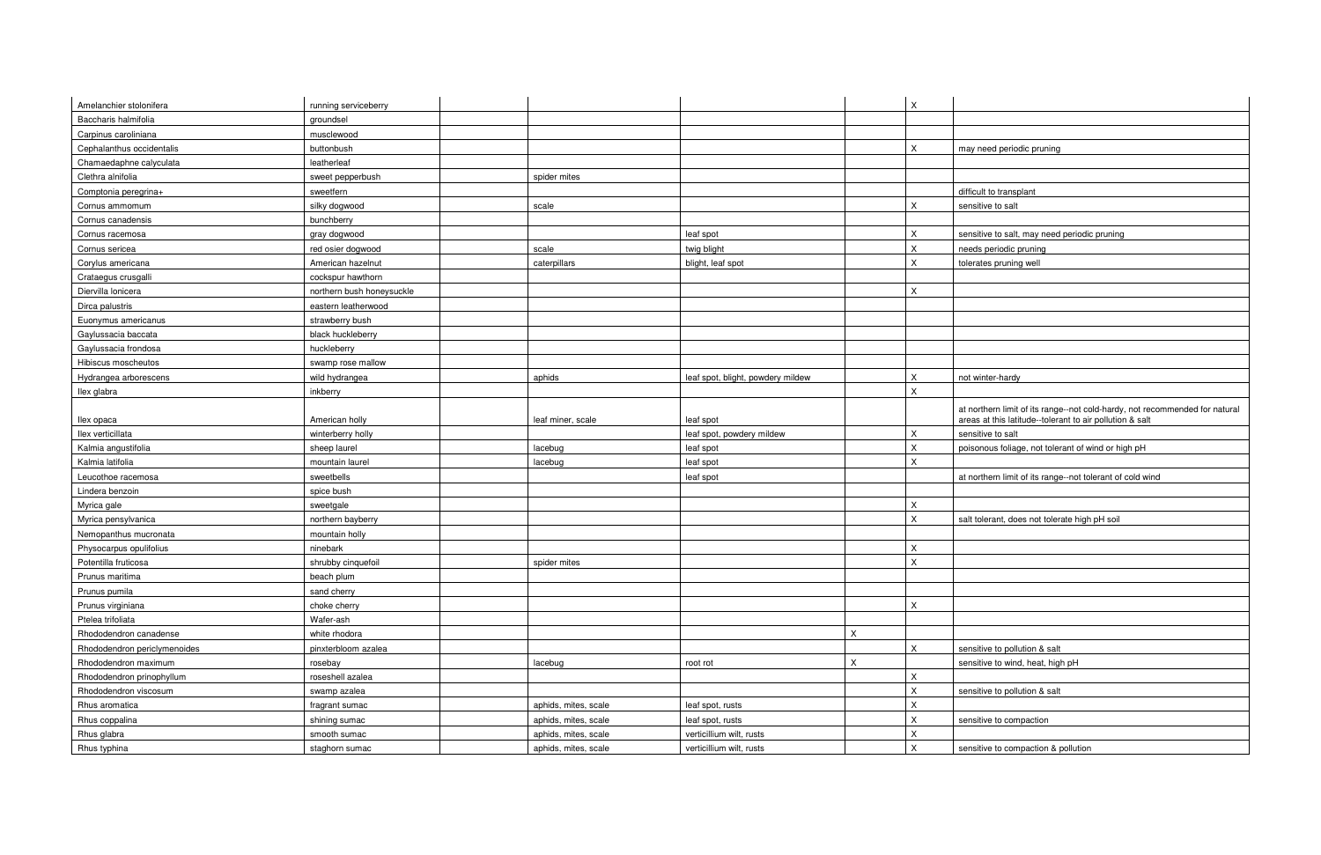at northern limit of its range--not cold-hardy, not recom mended for natural areas at this latitude--tolerant to air pollution & salt

bisonous foliage, not tolerant of wind or high pH

I northern limit of its range--not tolerant of cold wind

alt tolerant, does not tolerate high pH soil

msitive to pollution & salt ensitive to wind, heat, high pH

ensitive to pollution & salt

ensitive to compaction & pollution

| Amelanchier stolonifera      | running serviceberry      |                      |                                   |              | $\mathsf X$    |                             |
|------------------------------|---------------------------|----------------------|-----------------------------------|--------------|----------------|-----------------------------|
| Baccharis halmifolia         | groundsel                 |                      |                                   |              |                |                             |
| Carpinus caroliniana         | musclewood                |                      |                                   |              |                |                             |
| Cephalanthus occidentalis    | buttonbush                |                      |                                   |              | $\mathsf X$    | may need periodic prur      |
| Chamaedaphne calyculata      | leatherleaf               |                      |                                   |              |                |                             |
| Clethra alnifolia            | sweet pepperbush          | spider mites         |                                   |              |                |                             |
| Comptonia peregrina+         | sweetfern                 |                      |                                   |              |                | difficult to transplant     |
| Cornus ammomum               | silky dogwood             | scale                |                                   |              | $\mathsf X$    | sensitive to salt           |
| Cornus canadensis            | bunchberry                |                      |                                   |              |                |                             |
| Cornus racemosa              | gray dogwood              |                      | leaf spot                         |              | $\mathsf X$    | sensitive to salt, may no   |
| Cornus sericea               | red osier dogwood         | scale                | twig blight                       |              | $\sf X$        | needs periodic pruning      |
| Corylus americana            | American hazelnut         | caterpillars         | blight, leaf spot                 |              | X              | tolerates pruning well      |
| Crataegus crusgalli          | cockspur hawthorn         |                      |                                   |              |                |                             |
| Diervilla lonicera           | northern bush honeysuckle |                      |                                   |              | X              |                             |
| Dirca palustris              | eastern leatherwood       |                      |                                   |              |                |                             |
| Euonymus americanus          | strawberry bush           |                      |                                   |              |                |                             |
| Gaylussacia baccata          | black huckleberry         |                      |                                   |              |                |                             |
| Gaylussacia frondosa         | huckleberry               |                      |                                   |              |                |                             |
| Hibiscus moscheutos          | swamp rose mallow         |                      |                                   |              |                |                             |
| Hydrangea arborescens        | wild hydrangea            | aphids               | leaf spot, blight, powdery mildew |              | $\mathsf X$    | not winter-hardy            |
| Ilex glabra                  | inkberry                  |                      |                                   |              | X              |                             |
|                              |                           |                      |                                   |              |                | at northern limit of its ra |
| llex opaca                   | American holly            | leaf miner, scale    | leaf spot                         |              |                | areas at this latitude--to  |
| Ilex verticillata            | winterberry holly         |                      | leaf spot, powdery mildew         |              | $\pmb{\times}$ | sensitive to salt           |
| Kalmia angustifolia          | sheep laurel              | lacebug              | leaf spot                         |              | $\sf X$        | poisonous foliage, not t    |
| Kalmia latifolia             | mountain laurel           | lacebug              | leaf spot                         |              | $\mathsf X$    |                             |
| Leucothoe racemosa           | sweetbells                |                      | leaf spot                         |              |                | at northern limit of its ra |
| Lindera benzoin              | spice bush                |                      |                                   |              |                |                             |
| Myrica gale                  | sweetgale                 |                      |                                   |              | X              |                             |
| Myrica pensylvanica          | northern bayberry         |                      |                                   |              | $\mathsf X$    | salt tolerant, does not to  |
| Nemopanthus mucronata        | mountain holly            |                      |                                   |              |                |                             |
| Physocarpus opulifolius      | ninebark                  |                      |                                   |              | X              |                             |
| Potentilla fruticosa         | shrubby cinquefoil        | spider mites         |                                   |              | X              |                             |
| Prunus maritima              | beach plum                |                      |                                   |              |                |                             |
| Prunus pumila                | sand cherry               |                      |                                   |              |                |                             |
| Prunus virginiana            | choke cherry              |                      |                                   |              | $\mathsf X$    |                             |
| Ptelea trifoliata            | Wafer-ash                 |                      |                                   |              |                |                             |
| Rhododendron canadense       | white rhodora             |                      |                                   | $\mathsf X$  |                |                             |
| Rhododendron periclymenoides | pinxterbloom azalea       |                      |                                   |              | X              | sensitive to pollution &    |
| Rhododendron maximum         | rosebay                   | lacebug              | root rot                          | $\mathsf{X}$ |                | sensitive to wind, heat,    |
| Rhododendron prinophyllum    | roseshell azalea          |                      |                                   |              | X              |                             |
| Rhododendron viscosum        | swamp azalea              |                      |                                   |              | $\mathsf X$    | sensitive to pollution &    |
| Rhus aromatica               | fragrant sumac            | aphids, mites, scale | leaf spot, rusts                  |              | $\mathsf X$    |                             |
| Rhus coppalina               | shining sumac             | aphids, mites, scale | leaf spot, rusts                  |              | $\mathsf X$    | sensitive to compaction     |
| Rhus glabra                  | smooth sumac              | aphids, mites, scale | verticillium wilt, rusts          |              | $\sf X$        |                             |
| Rhus typhina                 | staghorn sumac            | aphids, mites, scale | verticillium wilt, rusts          |              | $\mathsf X$    | sensitive to compaction     |
|                              |                           |                      |                                   |              |                |                             |

| ay need periodic pruning |
|--------------------------|
|--------------------------|

ensitive to salt, may need periodic pruning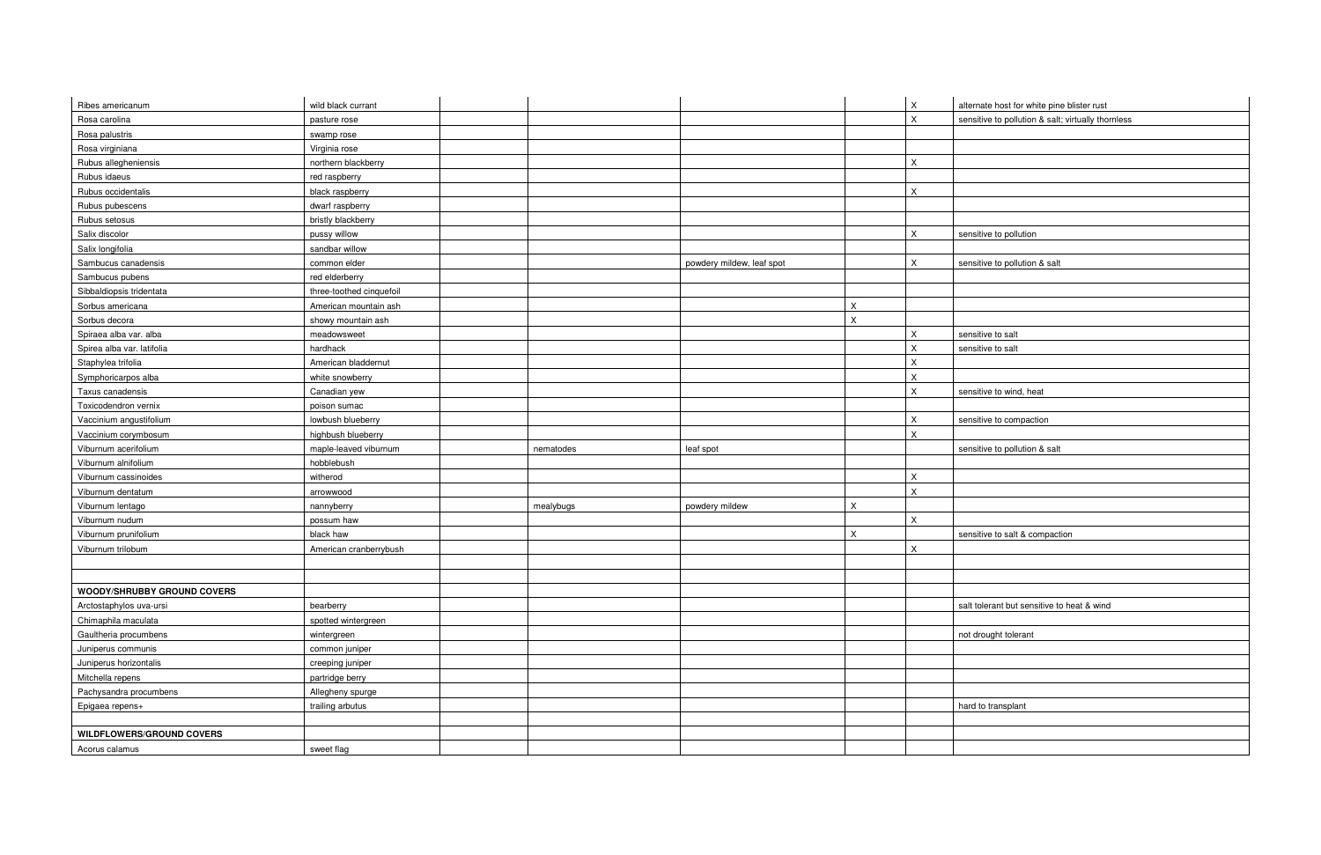| alternate host for white pine blister rust         |
|----------------------------------------------------|
| sensitive to pollution & salt; virtually thornless |
|                                                    |
|                                                    |
|                                                    |
|                                                    |
|                                                    |
|                                                    |
|                                                    |
| sensitive to pollution                             |
|                                                    |
| sensitive to pollution & salt                      |
|                                                    |
|                                                    |
|                                                    |
|                                                    |
|                                                    |
| sensitive to salt                                  |
| sensitive to salt                                  |
|                                                    |
|                                                    |
| sensitive to wind, heat                            |
|                                                    |
| sensitive to compaction                            |
|                                                    |
| sensitive to pollution & salt                      |
|                                                    |
|                                                    |
|                                                    |
|                                                    |
|                                                    |
| sensitive to salt & compaction                     |
|                                                    |
|                                                    |
|                                                    |
|                                                    |
| salt tolerant but sensitive to heat & wind         |
|                                                    |
| not drought tolerant                               |
|                                                    |
|                                                    |
|                                                    |
|                                                    |
| hard to transplant                                 |
|                                                    |
|                                                    |
|                                                    |
|                                                    |

| Ribes americanum                   | wild black currant       |           |                           |   | $\mathsf X$  | alternate host for white pine blister rust         |
|------------------------------------|--------------------------|-----------|---------------------------|---|--------------|----------------------------------------------------|
| Rosa carolina                      | pasture rose             |           |                           |   | $\mathsf X$  | sensitive to pollution & salt; virtually thornless |
| Rosa palustris                     | swamp rose               |           |                           |   |              |                                                    |
| Rosa virginiana                    | Virginia rose            |           |                           |   |              |                                                    |
| Rubus allegheniensis               | northern blackberry      |           |                           |   | X            |                                                    |
| Rubus idaeus                       | red raspberry            |           |                           |   |              |                                                    |
| Rubus occidentalis                 | black raspberry          |           |                           |   | X            |                                                    |
| Rubus pubescens                    | dwarf raspberry          |           |                           |   |              |                                                    |
| Rubus setosus                      | bristly blackberry       |           |                           |   |              |                                                    |
| Salix discolor                     | pussy willow             |           |                           |   | $\mathsf X$  | sensitive to pollution                             |
| Salix longifolia                   | sandbar willow           |           |                           |   |              |                                                    |
| Sambucus canadensis                | common elder             |           | powdery mildew, leaf spot |   | $\mathsf{X}$ | sensitive to pollution & salt                      |
| Sambucus pubens                    | red elderberry           |           |                           |   |              |                                                    |
| Sibbaldiopsis tridentata           | three-toothed cinquefoil |           |                           |   |              |                                                    |
| Sorbus americana                   | American mountain ash    |           |                           | X |              |                                                    |
| Sorbus decora                      | showy mountain ash       |           |                           | X |              |                                                    |
| Spiraea alba var. alba             | meadowsweet              |           |                           |   | X            | sensitive to salt                                  |
| Spirea alba var. latifolia         | hardhack                 |           |                           |   | $\mathsf X$  | sensitive to salt                                  |
| Staphylea trifolia                 | American bladdernut      |           |                           |   | X            |                                                    |
| Symphoricarpos alba                | white snowberry          |           |                           |   | X            |                                                    |
| Taxus canadensis                   | Canadian yew             |           |                           |   | X            | sensitive to wind, heat                            |
| Toxicodendron vernix               | poison sumac             |           |                           |   |              |                                                    |
| Vaccinium angustifolium            | lowbush blueberry        |           |                           |   | X            | sensitive to compaction                            |
| Vaccinium corymbosum               | highbush blueberry       |           |                           |   | $\mathsf X$  |                                                    |
| Viburnum acerifolium               | maple-leaved viburnum    | nematodes | leaf spot                 |   |              | sensitive to pollution & salt                      |
| Viburnum alnifolium                | hobblebush               |           |                           |   |              |                                                    |
| Viburnum cassinoides               | witherod                 |           |                           |   | $\mathsf X$  |                                                    |
| Viburnum dentatum                  | arrowwood                |           |                           |   | $\mathsf X$  |                                                    |
| Viburnum lentago                   | nannyberry               | mealybugs | powdery mildew            | X |              |                                                    |
| Viburnum nudum                     | possum haw               |           |                           |   | $\mathsf X$  |                                                    |
| Viburnum prunifolium               | black haw                |           |                           | X |              | sensitive to salt & compaction                     |
| Viburnum trilobum                  | American cranberrybush   |           |                           |   | $\mathsf X$  |                                                    |
|                                    |                          |           |                           |   |              |                                                    |
|                                    |                          |           |                           |   |              |                                                    |
| <b>WOODY/SHRUBBY GROUND COVERS</b> |                          |           |                           |   |              |                                                    |
| Arctostaphylos uva-ursi            | bearberry                |           |                           |   |              | salt tolerant but sensitive to heat & wind         |
| Chimaphila maculata                | spotted wintergreen      |           |                           |   |              |                                                    |
| Gaultheria procumbens              | wintergreen              |           |                           |   |              | not drought tolerant                               |
| Juniperus communis                 | common juniper           |           |                           |   |              |                                                    |
| Juniperus horizontalis             | creeping juniper         |           |                           |   |              |                                                    |
| Mitchella repens                   | partridge berry          |           |                           |   |              |                                                    |
| Pachysandra procumbens             | Allegheny spurge         |           |                           |   |              |                                                    |
| Epigaea repens+                    | trailing arbutus         |           |                           |   |              | hard to transplant                                 |
|                                    |                          |           |                           |   |              |                                                    |
| <b>WILDFLOWERS/GROUND COVERS</b>   |                          |           |                           |   |              |                                                    |
| Acorus calamus                     | sweet flag               |           |                           |   |              |                                                    |
|                                    |                          |           |                           |   |              |                                                    |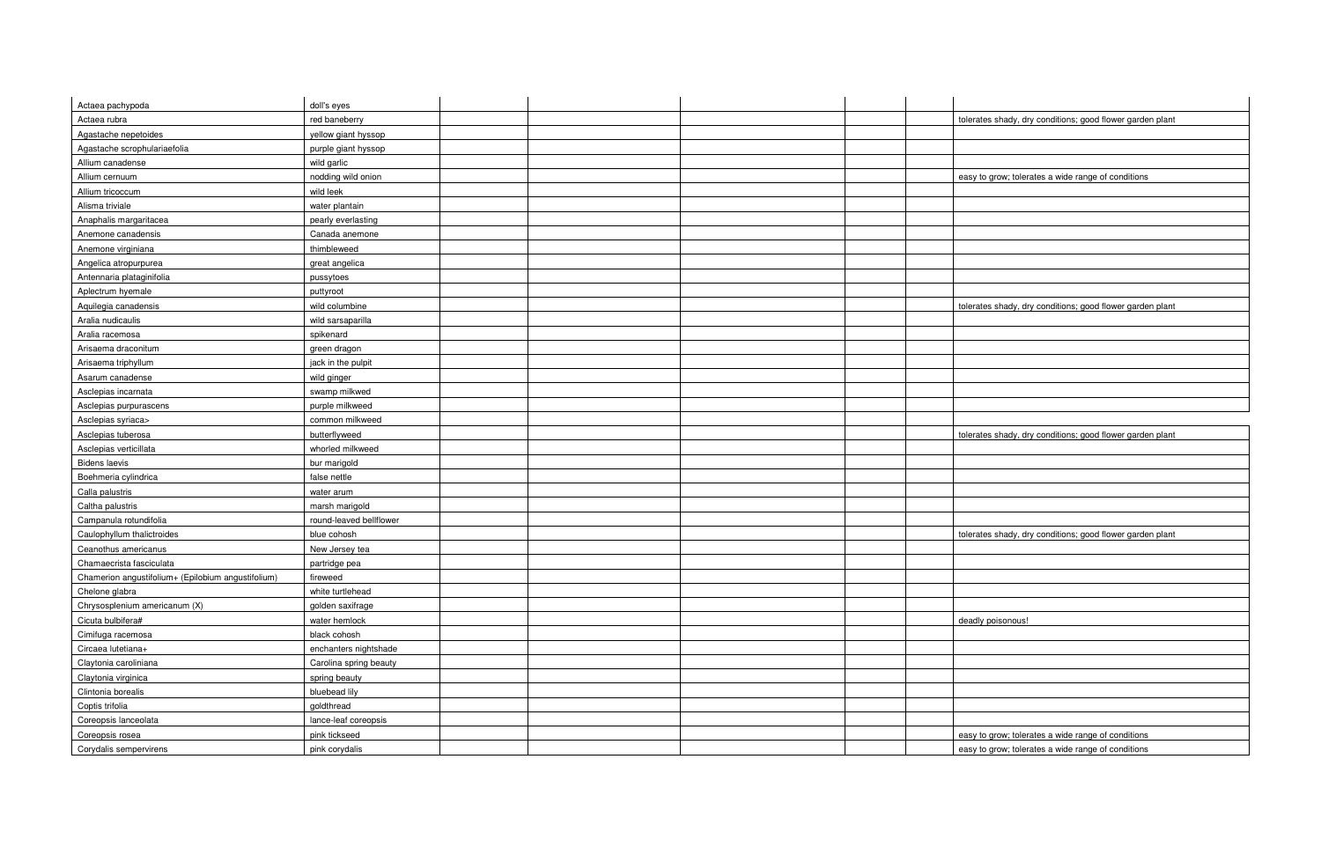| Actaea pachypoda<br>doll's eyes<br>Actaea rubra<br>red baneberry<br>Agastache nepetoides<br>yellow giant hyssop<br>Agastache scrophulariaefolia<br>purple giant hyssop<br>Allium canadense<br>wild garlic<br>nodding wild onion<br>Allium cernuum<br>wild leek<br>Allium tricoccum<br>Alisma triviale<br>water plantain<br>Anaphalis margaritacea<br>pearly everlasting<br>Anemone canadensis<br>Canada anemone<br>thimbleweed<br>Anemone virginiana<br>Angelica atropurpurea<br>great angelica<br>Antennaria plataginifolia<br>pussytoes<br>Aplectrum hyemale<br>puttyroot<br>wild columbine<br>Aquilegia canadensis<br>Aralia nudicaulis<br>wild sarsaparilla<br>Aralia racemosa<br>spikenard<br>Arisaema draconitum<br>green dragon<br>Arisaema triphyllum<br>jack in the pulpit<br>Asarum canadense<br>wild ginger<br>Asclepias incarnata<br>swamp milkwed<br>Asclepias purpurascens<br>purple milkweed<br>Asclepias syriaca><br>common milkweed<br>Asclepias tuberosa<br>butterflyweed<br>Asclepias verticillata<br>whorled milkweed<br><b>Bidens laevis</b><br>bur marigold<br>Boehmeria cylindrica<br>false nettle<br>Calla palustris<br>water arum<br>Caltha palustris<br>marsh marigold<br>Campanula rotundifolia<br>round-leaved bellflower<br>Caulophyllum thalictroides<br>blue cohosh<br>Ceanothus americanus<br>New Jersey tea<br>Chamaecrista fasciculata<br>partridge pea<br>Chamerion angustifolium+ (Epilobium angustifolium)<br>fireweed<br>Chelone glabra<br>white turtlehead<br>Chrysosplenium americanum (X)<br>golden saxifrage<br>Cicuta bulbifera#<br>water hemlock<br>deadly poisonous!<br>Cimifuga racemosa<br>black cohosh<br>Circaea lutetiana+<br>enchanters nightshade<br>Claytonia caroliniana<br>Carolina spring beauty<br>Claytonia virginica<br>spring beauty<br>bluebead lily<br>Clintonia borealis<br>goldthread<br>Coptis trifolia<br>lance-leaf coreopsis<br>Coreopsis lanceolata<br>pink tickseed<br>Coreopsis rosea |                        |                |  |                                                           |
|--------------------------------------------------------------------------------------------------------------------------------------------------------------------------------------------------------------------------------------------------------------------------------------------------------------------------------------------------------------------------------------------------------------------------------------------------------------------------------------------------------------------------------------------------------------------------------------------------------------------------------------------------------------------------------------------------------------------------------------------------------------------------------------------------------------------------------------------------------------------------------------------------------------------------------------------------------------------------------------------------------------------------------------------------------------------------------------------------------------------------------------------------------------------------------------------------------------------------------------------------------------------------------------------------------------------------------------------------------------------------------------------------------------------------------------------------------------------------------------------------------------------------------------------------------------------------------------------------------------------------------------------------------------------------------------------------------------------------------------------------------------------------------------------------------------------------------------------------------------------------------------------------------------------------------------------------------------|------------------------|----------------|--|-----------------------------------------------------------|
|                                                                                                                                                                                                                                                                                                                                                                                                                                                                                                                                                                                                                                                                                                                                                                                                                                                                                                                                                                                                                                                                                                                                                                                                                                                                                                                                                                                                                                                                                                                                                                                                                                                                                                                                                                                                                                                                                                                                                              |                        |                |  |                                                           |
|                                                                                                                                                                                                                                                                                                                                                                                                                                                                                                                                                                                                                                                                                                                                                                                                                                                                                                                                                                                                                                                                                                                                                                                                                                                                                                                                                                                                                                                                                                                                                                                                                                                                                                                                                                                                                                                                                                                                                              |                        |                |  | tolerates shady, dry conditions; good flower garden plant |
|                                                                                                                                                                                                                                                                                                                                                                                                                                                                                                                                                                                                                                                                                                                                                                                                                                                                                                                                                                                                                                                                                                                                                                                                                                                                                                                                                                                                                                                                                                                                                                                                                                                                                                                                                                                                                                                                                                                                                              |                        |                |  |                                                           |
|                                                                                                                                                                                                                                                                                                                                                                                                                                                                                                                                                                                                                                                                                                                                                                                                                                                                                                                                                                                                                                                                                                                                                                                                                                                                                                                                                                                                                                                                                                                                                                                                                                                                                                                                                                                                                                                                                                                                                              |                        |                |  |                                                           |
|                                                                                                                                                                                                                                                                                                                                                                                                                                                                                                                                                                                                                                                                                                                                                                                                                                                                                                                                                                                                                                                                                                                                                                                                                                                                                                                                                                                                                                                                                                                                                                                                                                                                                                                                                                                                                                                                                                                                                              |                        |                |  |                                                           |
|                                                                                                                                                                                                                                                                                                                                                                                                                                                                                                                                                                                                                                                                                                                                                                                                                                                                                                                                                                                                                                                                                                                                                                                                                                                                                                                                                                                                                                                                                                                                                                                                                                                                                                                                                                                                                                                                                                                                                              |                        |                |  | easy to grow; tolerates a wide range of conditions        |
|                                                                                                                                                                                                                                                                                                                                                                                                                                                                                                                                                                                                                                                                                                                                                                                                                                                                                                                                                                                                                                                                                                                                                                                                                                                                                                                                                                                                                                                                                                                                                                                                                                                                                                                                                                                                                                                                                                                                                              |                        |                |  |                                                           |
|                                                                                                                                                                                                                                                                                                                                                                                                                                                                                                                                                                                                                                                                                                                                                                                                                                                                                                                                                                                                                                                                                                                                                                                                                                                                                                                                                                                                                                                                                                                                                                                                                                                                                                                                                                                                                                                                                                                                                              |                        |                |  |                                                           |
|                                                                                                                                                                                                                                                                                                                                                                                                                                                                                                                                                                                                                                                                                                                                                                                                                                                                                                                                                                                                                                                                                                                                                                                                                                                                                                                                                                                                                                                                                                                                                                                                                                                                                                                                                                                                                                                                                                                                                              |                        |                |  |                                                           |
|                                                                                                                                                                                                                                                                                                                                                                                                                                                                                                                                                                                                                                                                                                                                                                                                                                                                                                                                                                                                                                                                                                                                                                                                                                                                                                                                                                                                                                                                                                                                                                                                                                                                                                                                                                                                                                                                                                                                                              |                        |                |  |                                                           |
|                                                                                                                                                                                                                                                                                                                                                                                                                                                                                                                                                                                                                                                                                                                                                                                                                                                                                                                                                                                                                                                                                                                                                                                                                                                                                                                                                                                                                                                                                                                                                                                                                                                                                                                                                                                                                                                                                                                                                              |                        |                |  |                                                           |
|                                                                                                                                                                                                                                                                                                                                                                                                                                                                                                                                                                                                                                                                                                                                                                                                                                                                                                                                                                                                                                                                                                                                                                                                                                                                                                                                                                                                                                                                                                                                                                                                                                                                                                                                                                                                                                                                                                                                                              |                        |                |  |                                                           |
|                                                                                                                                                                                                                                                                                                                                                                                                                                                                                                                                                                                                                                                                                                                                                                                                                                                                                                                                                                                                                                                                                                                                                                                                                                                                                                                                                                                                                                                                                                                                                                                                                                                                                                                                                                                                                                                                                                                                                              |                        |                |  |                                                           |
|                                                                                                                                                                                                                                                                                                                                                                                                                                                                                                                                                                                                                                                                                                                                                                                                                                                                                                                                                                                                                                                                                                                                                                                                                                                                                                                                                                                                                                                                                                                                                                                                                                                                                                                                                                                                                                                                                                                                                              |                        |                |  |                                                           |
|                                                                                                                                                                                                                                                                                                                                                                                                                                                                                                                                                                                                                                                                                                                                                                                                                                                                                                                                                                                                                                                                                                                                                                                                                                                                                                                                                                                                                                                                                                                                                                                                                                                                                                                                                                                                                                                                                                                                                              |                        |                |  | tolerates shady, dry conditions; good flower garden plant |
|                                                                                                                                                                                                                                                                                                                                                                                                                                                                                                                                                                                                                                                                                                                                                                                                                                                                                                                                                                                                                                                                                                                                                                                                                                                                                                                                                                                                                                                                                                                                                                                                                                                                                                                                                                                                                                                                                                                                                              |                        |                |  |                                                           |
|                                                                                                                                                                                                                                                                                                                                                                                                                                                                                                                                                                                                                                                                                                                                                                                                                                                                                                                                                                                                                                                                                                                                                                                                                                                                                                                                                                                                                                                                                                                                                                                                                                                                                                                                                                                                                                                                                                                                                              |                        |                |  |                                                           |
|                                                                                                                                                                                                                                                                                                                                                                                                                                                                                                                                                                                                                                                                                                                                                                                                                                                                                                                                                                                                                                                                                                                                                                                                                                                                                                                                                                                                                                                                                                                                                                                                                                                                                                                                                                                                                                                                                                                                                              |                        |                |  |                                                           |
|                                                                                                                                                                                                                                                                                                                                                                                                                                                                                                                                                                                                                                                                                                                                                                                                                                                                                                                                                                                                                                                                                                                                                                                                                                                                                                                                                                                                                                                                                                                                                                                                                                                                                                                                                                                                                                                                                                                                                              |                        |                |  |                                                           |
|                                                                                                                                                                                                                                                                                                                                                                                                                                                                                                                                                                                                                                                                                                                                                                                                                                                                                                                                                                                                                                                                                                                                                                                                                                                                                                                                                                                                                                                                                                                                                                                                                                                                                                                                                                                                                                                                                                                                                              |                        |                |  |                                                           |
|                                                                                                                                                                                                                                                                                                                                                                                                                                                                                                                                                                                                                                                                                                                                                                                                                                                                                                                                                                                                                                                                                                                                                                                                                                                                                                                                                                                                                                                                                                                                                                                                                                                                                                                                                                                                                                                                                                                                                              |                        |                |  |                                                           |
|                                                                                                                                                                                                                                                                                                                                                                                                                                                                                                                                                                                                                                                                                                                                                                                                                                                                                                                                                                                                                                                                                                                                                                                                                                                                                                                                                                                                                                                                                                                                                                                                                                                                                                                                                                                                                                                                                                                                                              |                        |                |  |                                                           |
|                                                                                                                                                                                                                                                                                                                                                                                                                                                                                                                                                                                                                                                                                                                                                                                                                                                                                                                                                                                                                                                                                                                                                                                                                                                                                                                                                                                                                                                                                                                                                                                                                                                                                                                                                                                                                                                                                                                                                              |                        |                |  |                                                           |
|                                                                                                                                                                                                                                                                                                                                                                                                                                                                                                                                                                                                                                                                                                                                                                                                                                                                                                                                                                                                                                                                                                                                                                                                                                                                                                                                                                                                                                                                                                                                                                                                                                                                                                                                                                                                                                                                                                                                                              |                        |                |  | tolerates shady, dry conditions; good flower garden plant |
|                                                                                                                                                                                                                                                                                                                                                                                                                                                                                                                                                                                                                                                                                                                                                                                                                                                                                                                                                                                                                                                                                                                                                                                                                                                                                                                                                                                                                                                                                                                                                                                                                                                                                                                                                                                                                                                                                                                                                              |                        |                |  |                                                           |
|                                                                                                                                                                                                                                                                                                                                                                                                                                                                                                                                                                                                                                                                                                                                                                                                                                                                                                                                                                                                                                                                                                                                                                                                                                                                                                                                                                                                                                                                                                                                                                                                                                                                                                                                                                                                                                                                                                                                                              |                        |                |  |                                                           |
|                                                                                                                                                                                                                                                                                                                                                                                                                                                                                                                                                                                                                                                                                                                                                                                                                                                                                                                                                                                                                                                                                                                                                                                                                                                                                                                                                                                                                                                                                                                                                                                                                                                                                                                                                                                                                                                                                                                                                              |                        |                |  |                                                           |
|                                                                                                                                                                                                                                                                                                                                                                                                                                                                                                                                                                                                                                                                                                                                                                                                                                                                                                                                                                                                                                                                                                                                                                                                                                                                                                                                                                                                                                                                                                                                                                                                                                                                                                                                                                                                                                                                                                                                                              |                        |                |  |                                                           |
|                                                                                                                                                                                                                                                                                                                                                                                                                                                                                                                                                                                                                                                                                                                                                                                                                                                                                                                                                                                                                                                                                                                                                                                                                                                                                                                                                                                                                                                                                                                                                                                                                                                                                                                                                                                                                                                                                                                                                              |                        |                |  |                                                           |
|                                                                                                                                                                                                                                                                                                                                                                                                                                                                                                                                                                                                                                                                                                                                                                                                                                                                                                                                                                                                                                                                                                                                                                                                                                                                                                                                                                                                                                                                                                                                                                                                                                                                                                                                                                                                                                                                                                                                                              |                        |                |  |                                                           |
|                                                                                                                                                                                                                                                                                                                                                                                                                                                                                                                                                                                                                                                                                                                                                                                                                                                                                                                                                                                                                                                                                                                                                                                                                                                                                                                                                                                                                                                                                                                                                                                                                                                                                                                                                                                                                                                                                                                                                              |                        |                |  | tolerates shady, dry conditions; good flower garden plant |
|                                                                                                                                                                                                                                                                                                                                                                                                                                                                                                                                                                                                                                                                                                                                                                                                                                                                                                                                                                                                                                                                                                                                                                                                                                                                                                                                                                                                                                                                                                                                                                                                                                                                                                                                                                                                                                                                                                                                                              |                        |                |  |                                                           |
|                                                                                                                                                                                                                                                                                                                                                                                                                                                                                                                                                                                                                                                                                                                                                                                                                                                                                                                                                                                                                                                                                                                                                                                                                                                                                                                                                                                                                                                                                                                                                                                                                                                                                                                                                                                                                                                                                                                                                              |                        |                |  |                                                           |
|                                                                                                                                                                                                                                                                                                                                                                                                                                                                                                                                                                                                                                                                                                                                                                                                                                                                                                                                                                                                                                                                                                                                                                                                                                                                                                                                                                                                                                                                                                                                                                                                                                                                                                                                                                                                                                                                                                                                                              |                        |                |  |                                                           |
|                                                                                                                                                                                                                                                                                                                                                                                                                                                                                                                                                                                                                                                                                                                                                                                                                                                                                                                                                                                                                                                                                                                                                                                                                                                                                                                                                                                                                                                                                                                                                                                                                                                                                                                                                                                                                                                                                                                                                              |                        |                |  |                                                           |
|                                                                                                                                                                                                                                                                                                                                                                                                                                                                                                                                                                                                                                                                                                                                                                                                                                                                                                                                                                                                                                                                                                                                                                                                                                                                                                                                                                                                                                                                                                                                                                                                                                                                                                                                                                                                                                                                                                                                                              |                        |                |  |                                                           |
|                                                                                                                                                                                                                                                                                                                                                                                                                                                                                                                                                                                                                                                                                                                                                                                                                                                                                                                                                                                                                                                                                                                                                                                                                                                                                                                                                                                                                                                                                                                                                                                                                                                                                                                                                                                                                                                                                                                                                              |                        |                |  |                                                           |
|                                                                                                                                                                                                                                                                                                                                                                                                                                                                                                                                                                                                                                                                                                                                                                                                                                                                                                                                                                                                                                                                                                                                                                                                                                                                                                                                                                                                                                                                                                                                                                                                                                                                                                                                                                                                                                                                                                                                                              |                        |                |  |                                                           |
|                                                                                                                                                                                                                                                                                                                                                                                                                                                                                                                                                                                                                                                                                                                                                                                                                                                                                                                                                                                                                                                                                                                                                                                                                                                                                                                                                                                                                                                                                                                                                                                                                                                                                                                                                                                                                                                                                                                                                              |                        |                |  |                                                           |
|                                                                                                                                                                                                                                                                                                                                                                                                                                                                                                                                                                                                                                                                                                                                                                                                                                                                                                                                                                                                                                                                                                                                                                                                                                                                                                                                                                                                                                                                                                                                                                                                                                                                                                                                                                                                                                                                                                                                                              |                        |                |  |                                                           |
|                                                                                                                                                                                                                                                                                                                                                                                                                                                                                                                                                                                                                                                                                                                                                                                                                                                                                                                                                                                                                                                                                                                                                                                                                                                                                                                                                                                                                                                                                                                                                                                                                                                                                                                                                                                                                                                                                                                                                              |                        |                |  |                                                           |
|                                                                                                                                                                                                                                                                                                                                                                                                                                                                                                                                                                                                                                                                                                                                                                                                                                                                                                                                                                                                                                                                                                                                                                                                                                                                                                                                                                                                                                                                                                                                                                                                                                                                                                                                                                                                                                                                                                                                                              |                        |                |  |                                                           |
|                                                                                                                                                                                                                                                                                                                                                                                                                                                                                                                                                                                                                                                                                                                                                                                                                                                                                                                                                                                                                                                                                                                                                                                                                                                                                                                                                                                                                                                                                                                                                                                                                                                                                                                                                                                                                                                                                                                                                              |                        |                |  |                                                           |
|                                                                                                                                                                                                                                                                                                                                                                                                                                                                                                                                                                                                                                                                                                                                                                                                                                                                                                                                                                                                                                                                                                                                                                                                                                                                                                                                                                                                                                                                                                                                                                                                                                                                                                                                                                                                                                                                                                                                                              |                        |                |  |                                                           |
|                                                                                                                                                                                                                                                                                                                                                                                                                                                                                                                                                                                                                                                                                                                                                                                                                                                                                                                                                                                                                                                                                                                                                                                                                                                                                                                                                                                                                                                                                                                                                                                                                                                                                                                                                                                                                                                                                                                                                              |                        |                |  | easy to grow; tolerates a wide range of conditions        |
|                                                                                                                                                                                                                                                                                                                                                                                                                                                                                                                                                                                                                                                                                                                                                                                                                                                                                                                                                                                                                                                                                                                                                                                                                                                                                                                                                                                                                                                                                                                                                                                                                                                                                                                                                                                                                                                                                                                                                              | Corydalis sempervirens | pink corydalis |  | easy to grow; tolerates a wide range of conditions        |

| lerates shady, dry conditions; good flower garden plant |
|---------------------------------------------------------|
|                                                         |
|                                                         |
| asy to grow; tolerates a wide range of conditions       |
|                                                         |
|                                                         |
|                                                         |
|                                                         |
|                                                         |
|                                                         |
|                                                         |
| lerates shady, dry conditions; good flower garden plant |
|                                                         |
|                                                         |
|                                                         |
|                                                         |
|                                                         |
|                                                         |
|                                                         |
| lerates shady, dry conditions; good flower garden plant |
|                                                         |
|                                                         |
|                                                         |
|                                                         |
|                                                         |
|                                                         |
| lerates shady, dry conditions; good flower garden plant |
|                                                         |
|                                                         |
|                                                         |
|                                                         |
| eadly poisonous!                                        |
|                                                         |
|                                                         |
|                                                         |
|                                                         |
|                                                         |
|                                                         |
|                                                         |
| asy to grow; tolerates a wide range of conditions       |

asy to grow; tolerates a wide range of conditions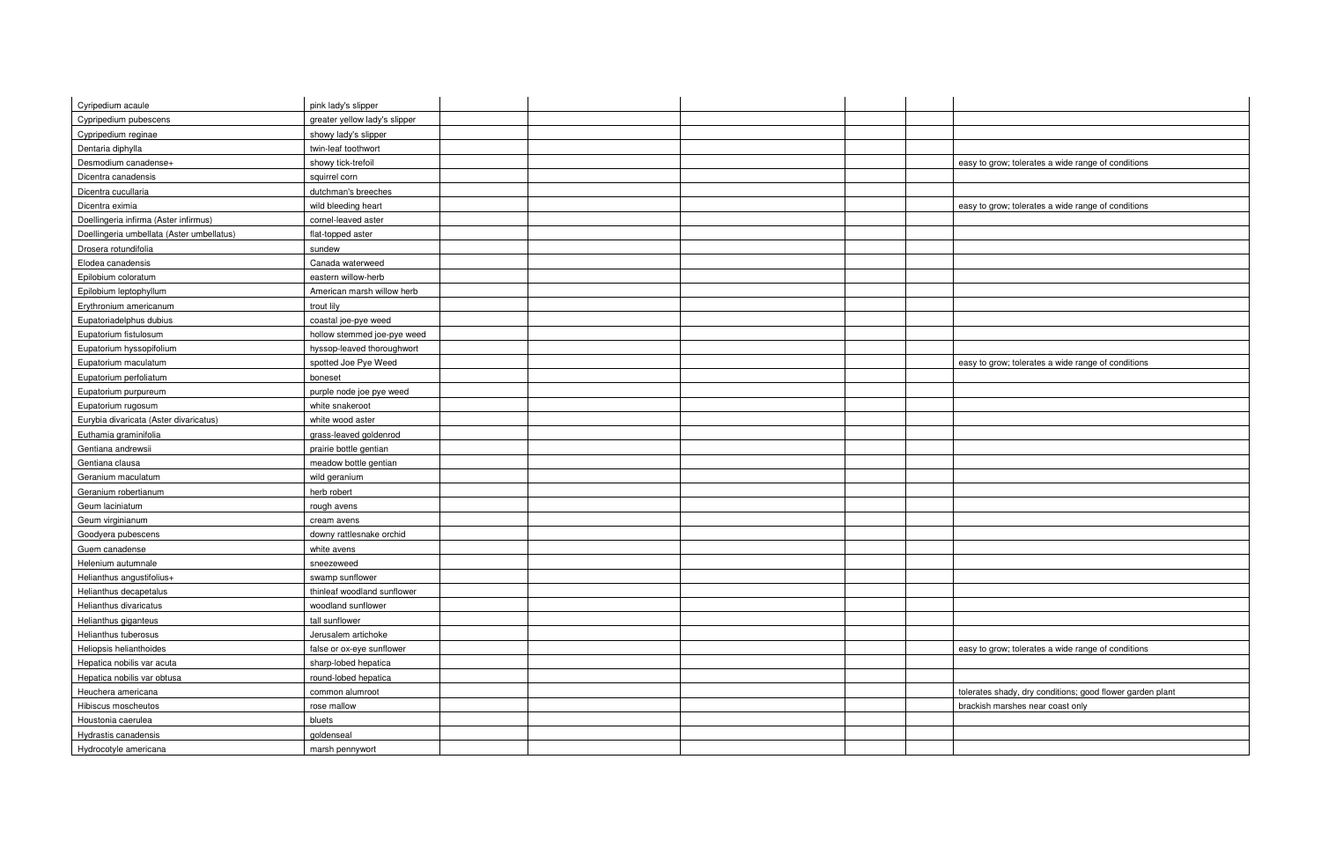| Cyripedium acaule                         | pink lady's slipper           |  |                                                           |
|-------------------------------------------|-------------------------------|--|-----------------------------------------------------------|
| Cypripedium pubescens                     | greater yellow lady's slipper |  |                                                           |
| Cypripedium reginae                       | showy lady's slipper          |  |                                                           |
| Dentaria diphylla                         | twin-leaf toothwort           |  |                                                           |
| Desmodium canadense+                      | showy tick-trefoil            |  | easy to grow; tolerates a wide range of conditions        |
| Dicentra canadensis                       | squirrel corn                 |  |                                                           |
| Dicentra cucullaria                       | dutchman's breeches           |  |                                                           |
| Dicentra eximia                           | wild bleeding heart           |  | easy to grow; tolerates a wide range of conditions        |
| Doellingeria infirma (Aster infirmus)     | cornel-leaved aster           |  |                                                           |
| Doellingeria umbellata (Aster umbellatus) | flat-topped aster             |  |                                                           |
| Drosera rotundifolia                      | sundew                        |  |                                                           |
| Elodea canadensis                         | Canada waterweed              |  |                                                           |
| Epilobium coloratum                       | eastern willow-herb           |  |                                                           |
| Epilobium leptophyllum                    | American marsh willow herb    |  |                                                           |
| Erythronium americanum                    | trout lily                    |  |                                                           |
| Eupatoriadelphus dubius                   | coastal joe-pye weed          |  |                                                           |
| Eupatorium fistulosum                     | hollow stemmed joe-pye weed   |  |                                                           |
| Eupatorium hyssopifolium                  | hyssop-leaved thoroughwort    |  |                                                           |
| Eupatorium maculatum                      | spotted Joe Pye Weed          |  | easy to grow; tolerates a wide range of conditions        |
| Eupatorium perfoliatum                    | boneset                       |  |                                                           |
| Eupatorium purpureum                      | purple node joe pye weed      |  |                                                           |
| Eupatorium rugosum                        | white snakeroot               |  |                                                           |
| Eurybia divaricata (Aster divaricatus)    | white wood aster              |  |                                                           |
| Euthamia graminifolia                     | grass-leaved goldenrod        |  |                                                           |
| Gentiana andrewsii                        | prairie bottle gentian        |  |                                                           |
| Gentiana clausa                           | meadow bottle gentian         |  |                                                           |
| Geranium maculatum                        | wild geranium                 |  |                                                           |
| Geranium robertianum                      | herb robert                   |  |                                                           |
| Geum laciniatum                           | rough avens                   |  |                                                           |
| Geum virginianum                          | cream avens                   |  |                                                           |
| Goodyera pubescens                        | downy rattlesnake orchid      |  |                                                           |
| Guem canadense                            | white avens                   |  |                                                           |
| Helenium autumnale                        | sneezeweed                    |  |                                                           |
| Helianthus angustifolius+                 | swamp sunflower               |  |                                                           |
| Helianthus decapetalus                    | thinleaf woodland sunflower   |  |                                                           |
| Helianthus divaricatus                    | woodland sunflower            |  |                                                           |
| Helianthus giganteus                      | tall sunflower                |  |                                                           |
| Helianthus tuberosus                      | Jerusalem artichoke           |  |                                                           |
| Heliopsis helianthoides                   | false or ox-eye sunflower     |  | easy to grow; tolerates a wide range of conditions        |
| Hepatica nobilis var acuta                | sharp-lobed hepatica          |  |                                                           |
| Hepatica nobilis var obtusa               | round-lobed hepatica          |  |                                                           |
| Heuchera americana                        | common alumroot               |  | tolerates shady, dry conditions; good flower garden plant |
| Hibiscus moscheutos                       | rose mallow                   |  | brackish marshes near coast only                          |
| Houstonia caerulea                        | bluets                        |  |                                                           |
| Hydrastis canadensis                      | goldenseal                    |  |                                                           |
| Hydrocotyle americana                     |                               |  |                                                           |
|                                           | marsh pennywort               |  |                                                           |

| y to grow; tolerates a wide range of conditions       |
|-------------------------------------------------------|
|                                                       |
|                                                       |
|                                                       |
| y to grow; tolerates a wide range of conditions       |
|                                                       |
|                                                       |
|                                                       |
|                                                       |
|                                                       |
|                                                       |
|                                                       |
|                                                       |
|                                                       |
|                                                       |
|                                                       |
|                                                       |
|                                                       |
|                                                       |
| y to grow; tolerates a wide range of conditions       |
|                                                       |
|                                                       |
|                                                       |
|                                                       |
|                                                       |
|                                                       |
|                                                       |
|                                                       |
|                                                       |
|                                                       |
|                                                       |
|                                                       |
|                                                       |
|                                                       |
|                                                       |
|                                                       |
|                                                       |
|                                                       |
|                                                       |
|                                                       |
|                                                       |
|                                                       |
|                                                       |
|                                                       |
|                                                       |
| by to grow; tolerates a wide range of conditions      |
|                                                       |
|                                                       |
|                                                       |
| rates shady, dry conditions; good flower garden plant |
| ckish marshes near coast only                         |
|                                                       |
|                                                       |
|                                                       |
|                                                       |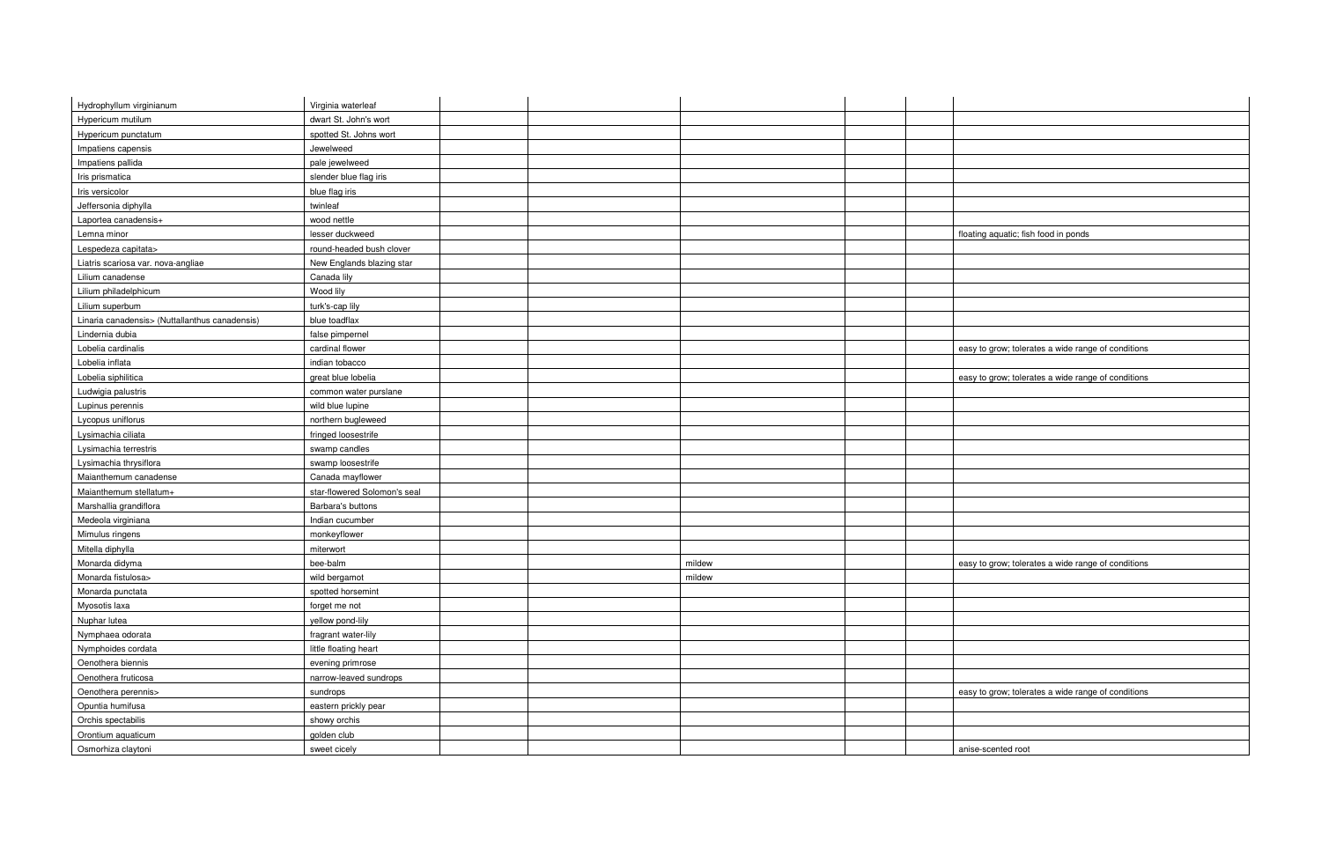| Hydrophyllum virginianum                       | Virginia waterleaf           |        |  |                                                    |
|------------------------------------------------|------------------------------|--------|--|----------------------------------------------------|
| Hypericum mutilum                              | dwart St. John's wort        |        |  |                                                    |
| Hypericum punctatum                            | spotted St. Johns wort       |        |  |                                                    |
| Impatiens capensis                             | Jewelweed                    |        |  |                                                    |
| Impatiens pallida                              | pale jewelweed               |        |  |                                                    |
| Iris prismatica                                | slender blue flag iris       |        |  |                                                    |
| Iris versicolor                                | blue flag iris               |        |  |                                                    |
| Jeffersonia diphylla                           | twinleaf                     |        |  |                                                    |
| Laportea canadensis+                           | wood nettle                  |        |  |                                                    |
| Lemna minor                                    | lesser duckweed              |        |  | floating aquatic; fish food in ponds               |
| Lespedeza capitata>                            | round-headed bush clover     |        |  |                                                    |
| Liatris scariosa var. nova-angliae             | New Englands blazing star    |        |  |                                                    |
| Lilium canadense                               | Canada lily                  |        |  |                                                    |
| Lilium philadelphicum                          | Wood lily                    |        |  |                                                    |
| Lilium superbum                                | turk's-cap lily              |        |  |                                                    |
| Linaria canadensis> (Nuttallanthus canadensis) | blue toadflax                |        |  |                                                    |
| Lindernia dubia                                | false pimpernel              |        |  |                                                    |
| Lobelia cardinalis                             | cardinal flower              |        |  | easy to grow; tolerates a wide range of conditions |
| Lobelia inflata                                | indian tobacco               |        |  |                                                    |
| Lobelia siphilitica                            | great blue lobelia           |        |  | easy to grow; tolerates a wide range of conditions |
| Ludwigia palustris                             | common water purslane        |        |  |                                                    |
| Lupinus perennis                               | wild blue lupine             |        |  |                                                    |
| Lycopus uniflorus                              | northern bugleweed           |        |  |                                                    |
| Lysimachia ciliata                             | fringed loosestrife          |        |  |                                                    |
| Lysimachia terrestris                          | swamp candles                |        |  |                                                    |
| Lysimachia thrysiflora                         | swamp loosestrife            |        |  |                                                    |
| Maianthemum canadense                          | Canada mayflower             |        |  |                                                    |
| Maianthemum stellatum+                         | star-flowered Solomon's seal |        |  |                                                    |
|                                                | Barbara's buttons            |        |  |                                                    |
| Marshallia grandiflora<br>Medeola virginiana   | Indian cucumber              |        |  |                                                    |
| Mimulus ringens                                | monkeyflower                 |        |  |                                                    |
|                                                |                              |        |  |                                                    |
| Mitella diphylla                               | miterwort                    |        |  |                                                    |
| Monarda didyma                                 | bee-balm                     | mildew |  | easy to grow; tolerates a wide range of conditions |
| Monarda fistulosa>                             | wild bergamot                | mildew |  |                                                    |
| Monarda punctata                               | spotted horsemint            |        |  |                                                    |
| Myosotis laxa                                  | forget me not                |        |  |                                                    |
| Nuphar lutea                                   | yellow pond-lily             |        |  |                                                    |
| Nymphaea odorata                               | fragrant water-lily          |        |  |                                                    |
| Nymphoides cordata                             | little floating heart        |        |  |                                                    |
| Oenothera biennis                              | evening primrose             |        |  |                                                    |
| Oenothera fruticosa                            | narrow-leaved sundrops       |        |  |                                                    |
| Oenothera perennis>                            | sundrops                     |        |  | easy to grow; tolerates a wide range of conditions |
| Opuntia humifusa                               | eastern prickly pear         |        |  |                                                    |
| Orchis spectabilis                             | showy orchis                 |        |  |                                                    |
| Orontium aquaticum                             | golden club                  |        |  |                                                    |
| Osmorhiza claytoni                             | sweet cicely                 |        |  | anise-scented root                                 |

| floating aquatic; fish food in ponds               |
|----------------------------------------------------|
|                                                    |
|                                                    |
|                                                    |
|                                                    |
|                                                    |
|                                                    |
|                                                    |
|                                                    |
|                                                    |
| easy to grow; tolerates a wide range of conditions |
|                                                    |
| easy to grow; tolerates a wide range of conditions |
|                                                    |
|                                                    |
|                                                    |
|                                                    |
|                                                    |
|                                                    |
|                                                    |
|                                                    |
|                                                    |
|                                                    |
|                                                    |
|                                                    |
|                                                    |
|                                                    |
| easy to grow; tolerates a wide range of conditions |
|                                                    |
|                                                    |
|                                                    |
|                                                    |
|                                                    |
|                                                    |
|                                                    |
|                                                    |
|                                                    |
| easy to grow; tolerates a wide range of conditions |
|                                                    |
|                                                    |
|                                                    |
|                                                    |
| anise-scented root                                 |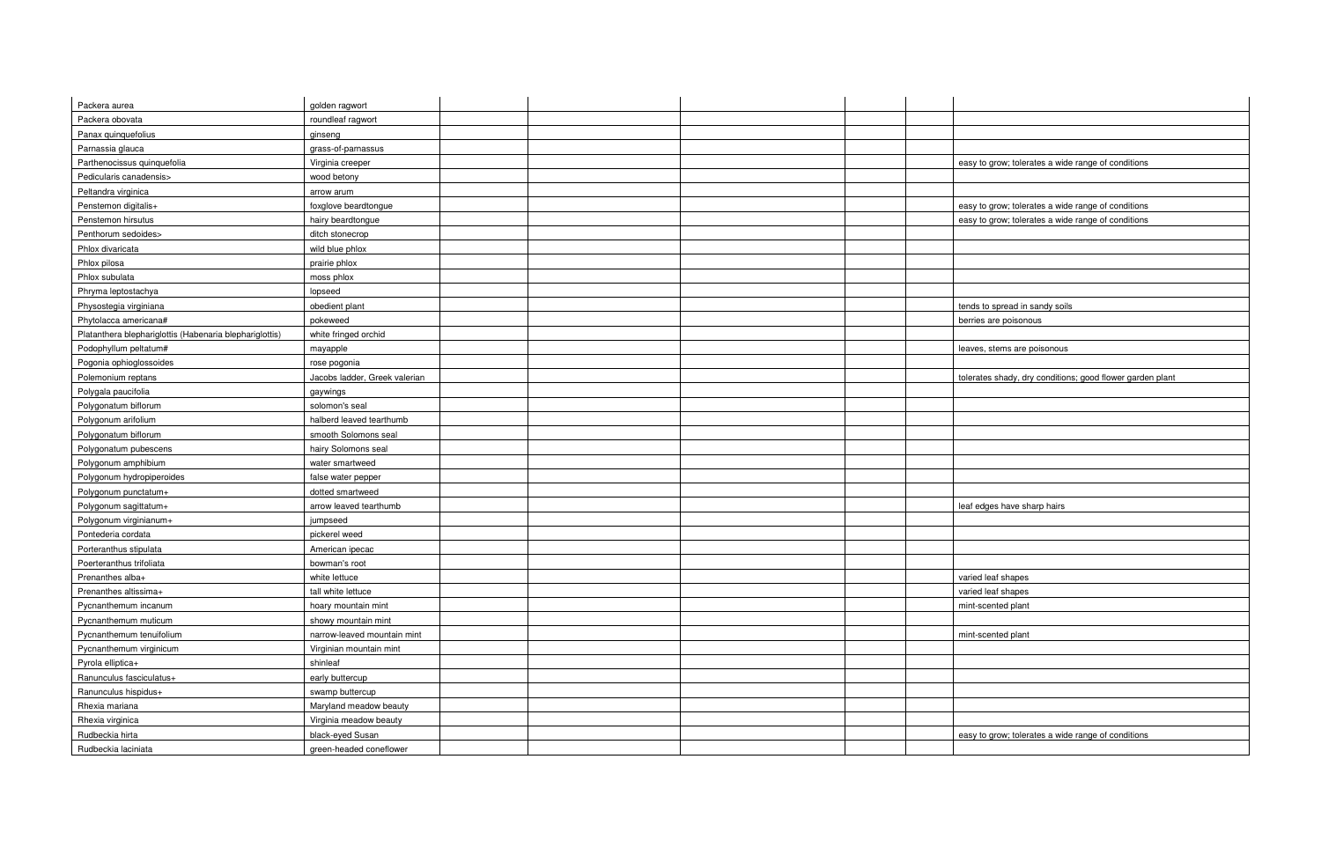| Packera aurea                                           | golden ragwort                |  |                                                           |
|---------------------------------------------------------|-------------------------------|--|-----------------------------------------------------------|
| Packera obovata                                         | roundleaf ragwort             |  |                                                           |
| Panax quinquefolius                                     | ginseng                       |  |                                                           |
| Parnassia glauca                                        | grass-of-parnassus            |  |                                                           |
| Parthenocissus quinquefolia                             | Virginia creeper              |  | easy to grow; tolerates a wide range of conditions        |
| Pedicularis canadensis>                                 | wood betony                   |  |                                                           |
| Peltandra virginica                                     | arrow arum                    |  |                                                           |
| Penstemon digitalis+                                    | foxglove beardtongue          |  | easy to grow; tolerates a wide range of conditions        |
| Penstemon hirsutus                                      | hairy beardtongue             |  | easy to grow; tolerates a wide range of conditions        |
| Penthorum sedoides>                                     | ditch stonecrop               |  |                                                           |
| Phlox divaricata                                        | wild blue phlox               |  |                                                           |
| Phlox pilosa                                            | prairie phlox                 |  |                                                           |
| Phlox subulata                                          | moss phlox                    |  |                                                           |
| Phryma leptostachya                                     | lopseed                       |  |                                                           |
| Physostegia virginiana                                  | obedient plant                |  | tends to spread in sandy soils                            |
| Phytolacca americana#                                   | pokeweed                      |  | berries are poisonous                                     |
| Platanthera blephariglottis (Habenaria blephariglottis) | white fringed orchid          |  |                                                           |
| Podophyllum peltatum#                                   | mayapple                      |  | leaves, stems are poisonous                               |
| Pogonia ophioglossoides                                 | rose pogonia                  |  |                                                           |
| Polemonium reptans                                      | Jacobs ladder, Greek valerian |  | tolerates shady, dry conditions; good flower garden plant |
| Polygala paucifolia                                     | gaywings                      |  |                                                           |
| Polygonatum biflorum                                    | solomon's seal                |  |                                                           |
| Polygonum arifolium                                     | halberd leaved tearthumb      |  |                                                           |
| Polygonatum biflorum                                    | smooth Solomons seal          |  |                                                           |
| Polygonatum pubescens                                   | hairy Solomons seal           |  |                                                           |
| Polygonum amphibium                                     | water smartweed               |  |                                                           |
| Polygonum hydropiperoides                               | false water pepper            |  |                                                           |
| Polygonum punctatum+                                    | dotted smartweed              |  |                                                           |
| Polygonum sagittatum+                                   | arrow leaved tearthumb        |  | leaf edges have sharp hairs                               |
| Polygonum virginianum+                                  | jumpseed                      |  |                                                           |
| Pontederia cordata                                      | pickerel weed                 |  |                                                           |
| Porteranthus stipulata                                  | American ipecac               |  |                                                           |
| Poerteranthus trifoliata                                | bowman's root                 |  |                                                           |
| Prenanthes alba+                                        | white lettuce                 |  | varied leaf shapes                                        |
| Prenanthes altissima+                                   | tall white lettuce            |  | varied leaf shapes                                        |
| Pycnanthemum incanum                                    | hoary mountain mint           |  | mint-scented plant                                        |
| Pycnanthemum muticum                                    | showy mountain mint           |  |                                                           |
| Pycnanthemum tenuifolium                                | narrow-leaved mountain mint   |  | mint-scented plant                                        |
| Pycnanthemum virginicum                                 | Virginian mountain mint       |  |                                                           |
| Pyrola elliptica+                                       | shinleaf                      |  |                                                           |
| Ranunculus fasciculatus+                                | early buttercup               |  |                                                           |
| Ranunculus hispidus+                                    | swamp buttercup               |  |                                                           |
| Rhexia mariana                                          | Maryland meadow beauty        |  |                                                           |
| Rhexia virginica                                        | Virginia meadow beauty        |  |                                                           |
| Rudbeckia hirta                                         | black-eyed Susan              |  | easy to grow; tolerates a wide range of conditions        |
| Rudbeckia laciniata                                     | green-headed coneflower       |  |                                                           |

| asy to grow; tolerates a wide range of conditions        |
|----------------------------------------------------------|
|                                                          |
|                                                          |
| easy to grow; tolerates a wide range of conditions       |
| easy to grow; tolerates a wide range of conditions       |
|                                                          |
|                                                          |
|                                                          |
|                                                          |
|                                                          |
|                                                          |
| ends to spread in sandy soils                            |
|                                                          |
| perries are poisonous                                    |
|                                                          |
| eaves, stems are poisonous                               |
|                                                          |
| olerates shady, dry conditions; good flower garden plant |
|                                                          |
|                                                          |
|                                                          |
|                                                          |
|                                                          |
|                                                          |
|                                                          |
|                                                          |
|                                                          |
|                                                          |
| <u>eaf edges have sharp hairs</u>                        |
|                                                          |
|                                                          |
|                                                          |
|                                                          |
|                                                          |
| aried leaf shapes                                        |
| aried leaf shapes                                        |
| nint-scented plant                                       |
|                                                          |
| nint-scented plant                                       |
|                                                          |
|                                                          |
|                                                          |
|                                                          |
|                                                          |
|                                                          |
|                                                          |
| easy to grow; tolerates a wide range of conditions       |
|                                                          |
|                                                          |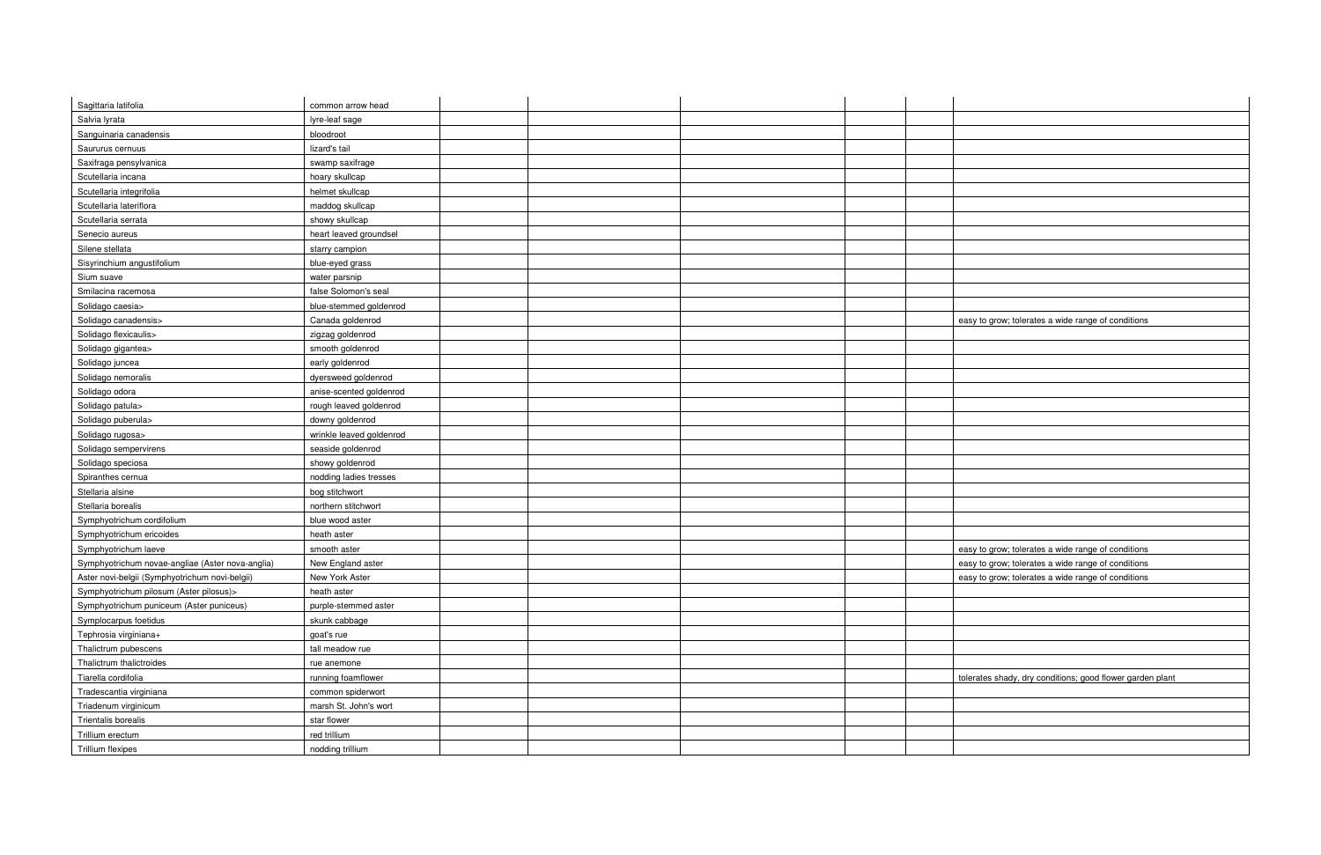| Sagittaria latifolia                             | common arrow head        |  |                                                           |
|--------------------------------------------------|--------------------------|--|-----------------------------------------------------------|
| Salvia lyrata                                    | lyre-leaf sage           |  |                                                           |
| Sanguinaria canadensis                           | bloodroot                |  |                                                           |
| Saururus cernuus                                 | lizard's tail            |  |                                                           |
| Saxifraga pensylvanica                           | swamp saxifrage          |  |                                                           |
| Scutellaria incana                               | hoary skullcap           |  |                                                           |
| Scutellaria integrifolia                         | helmet skullcap          |  |                                                           |
| Scutellaria lateriflora                          | maddog skullcap          |  |                                                           |
| Scutellaria serrata                              | showy skullcap           |  |                                                           |
| Senecio aureus                                   | heart leaved groundsel   |  |                                                           |
| Silene stellata                                  | starry campion           |  |                                                           |
| Sisyrinchium angustifolium                       | blue-eyed grass          |  |                                                           |
| Sium suave                                       | water parsnip            |  |                                                           |
| Smilacina racemosa                               | false Solomon's seal     |  |                                                           |
| Solidago caesia>                                 | blue-stemmed goldenrod   |  |                                                           |
| Solidago canadensis>                             | Canada goldenrod         |  | easy to grow; tolerates a wide range of conditions        |
| Solidago flexicaulis>                            | zigzag goldenrod         |  |                                                           |
| Solidago gigantea>                               | smooth goldenrod         |  |                                                           |
| Solidago juncea                                  | early goldenrod          |  |                                                           |
| Solidago nemoralis                               | dyersweed goldenrod      |  |                                                           |
| Solidago odora                                   | anise-scented goldenrod  |  |                                                           |
| Solidago patula>                                 | rough leaved goldenrod   |  |                                                           |
| Solidago puberula>                               | downy goldenrod          |  |                                                           |
| Solidago rugosa>                                 | wrinkle leaved goldenrod |  |                                                           |
| Solidago sempervirens                            | seaside goldenrod        |  |                                                           |
| Solidago speciosa                                | showy goldenrod          |  |                                                           |
| Spiranthes cernua                                | nodding ladies tresses   |  |                                                           |
| Stellaria alsine                                 | bog stitchwort           |  |                                                           |
| Stellaria borealis                               | northern stitchwort      |  |                                                           |
| Symphyotrichum cordifolium                       | blue wood aster          |  |                                                           |
| Symphyotrichum ericoides                         | heath aster              |  |                                                           |
| Symphyotrichum laeve                             | smooth aster             |  | easy to grow; tolerates a wide range of conditions        |
| Symphyotrichum novae-angliae (Aster nova-anglia) | New England aster        |  | easy to grow; tolerates a wide range of conditions        |
| Aster novi-belgii (Symphyotrichum novi-belgii)   | New York Aster           |  | easy to grow; tolerates a wide range of conditions        |
| Symphyotrichum pilosum (Aster pilosus)>          | heath aster              |  |                                                           |
| Symphyotrichum puniceum (Aster puniceus)         | purple-stemmed aster     |  |                                                           |
| Symplocarpus foetidus                            | skunk cabbage            |  |                                                           |
| Tephrosia virginiana+                            | goat's rue               |  |                                                           |
| Thalictrum pubescens                             | tall meadow rue          |  |                                                           |
| Thalictrum thalictroides                         | rue anemone              |  |                                                           |
| Tiarella cordifolia                              | running foamflower       |  | tolerates shady, dry conditions; good flower garden plant |
| Tradescantia virginiana                          | common spiderwort        |  |                                                           |
| Triadenum virginicum                             | marsh St. John's wort    |  |                                                           |
| Trientalis borealis                              | star flower              |  |                                                           |
| Trillium erectum                                 | red trillium             |  |                                                           |
| Trillium flexipes                                | nodding trillium         |  |                                                           |
|                                                  |                          |  |                                                           |

| asy to grow; tolerates a wide range of conditions        |
|----------------------------------------------------------|
|                                                          |
|                                                          |
|                                                          |
|                                                          |
|                                                          |
|                                                          |
|                                                          |
|                                                          |
|                                                          |
|                                                          |
|                                                          |
|                                                          |
|                                                          |
|                                                          |
|                                                          |
|                                                          |
|                                                          |
|                                                          |
| asy to grow; tolerates a wide range of conditions        |
| asy to grow; tolerates a wide range of conditions        |
|                                                          |
| asy to grow; tolerates a wide range of conditions        |
|                                                          |
|                                                          |
|                                                          |
|                                                          |
|                                                          |
|                                                          |
|                                                          |
| blerates shady, dry conditions; good flower garden plant |
|                                                          |
|                                                          |
|                                                          |
|                                                          |
|                                                          |
|                                                          |
|                                                          |

 $\mathbf{I}$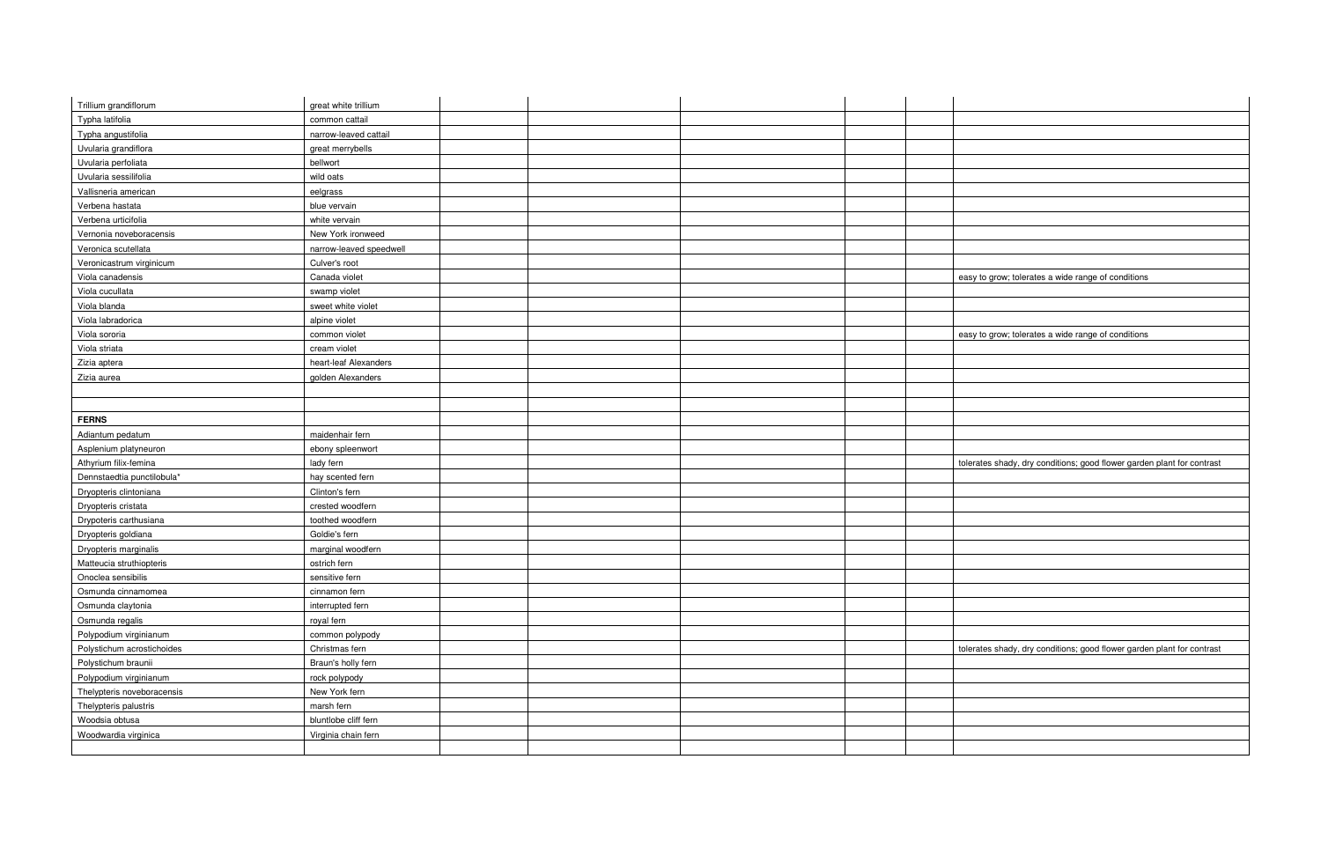| Trillium grandiflorum      | great white trillium    |  |  |                                                                        |
|----------------------------|-------------------------|--|--|------------------------------------------------------------------------|
| Typha latifolia            | common cattail          |  |  |                                                                        |
| Typha angustifolia         | narrow-leaved cattail   |  |  |                                                                        |
| Uvularia grandiflora       | great merrybells        |  |  |                                                                        |
| Uvularia perfoliata        | bellwort                |  |  |                                                                        |
| Uvularia sessilifolia      | wild oats               |  |  |                                                                        |
| Vallisneria american       | eelgrass                |  |  |                                                                        |
| Verbena hastata            | blue vervain            |  |  |                                                                        |
| Verbena urticifolia        | white vervain           |  |  |                                                                        |
| Vernonia noveboracensis    | New York ironweed       |  |  |                                                                        |
| Veronica scutellata        | narrow-leaved speedwell |  |  |                                                                        |
| Veronicastrum virginicum   | Culver's root           |  |  |                                                                        |
| Viola canadensis           | Canada violet           |  |  | easy to grow; tolerates a wide range of conditions                     |
| Viola cucullata            | swamp violet            |  |  |                                                                        |
| Viola blanda               | sweet white violet      |  |  |                                                                        |
| Viola labradorica          | alpine violet           |  |  |                                                                        |
| Viola sororia              | common violet           |  |  | easy to grow; tolerates a wide range of conditions                     |
| Viola striata              | cream violet            |  |  |                                                                        |
| Zizia aptera               | heart-leaf Alexanders   |  |  |                                                                        |
| Zizia aurea                | golden Alexanders       |  |  |                                                                        |
|                            |                         |  |  |                                                                        |
|                            |                         |  |  |                                                                        |
| <b>FERNS</b>               |                         |  |  |                                                                        |
| Adiantum pedatum           | maidenhair fern         |  |  |                                                                        |
| Asplenium platyneuron      | ebony spleenwort        |  |  |                                                                        |
| Athyrium filix-femina      | lady fern               |  |  | tolerates shady, dry conditions; good flower garden plant for contrast |
| Dennstaedtia punctilobula* | hay scented fern        |  |  |                                                                        |
| Dryopteris clintoniana     | Clinton's fern          |  |  |                                                                        |
| Dryopteris cristata        | crested woodfern        |  |  |                                                                        |
| Drypoteris carthusiana     | toothed woodfern        |  |  |                                                                        |
| Dryopteris goldiana        | Goldie's fern           |  |  |                                                                        |
| Dryopteris marginalis      | marginal woodfern       |  |  |                                                                        |
| Matteucia struthiopteris   | ostrich fern            |  |  |                                                                        |
| Onoclea sensibilis         | sensitive fern          |  |  |                                                                        |
| Osmunda cinnamomea         | cinnamon fern           |  |  |                                                                        |
| Osmunda claytonia          | interrupted fern        |  |  |                                                                        |
| Osmunda regalis            | royal fern              |  |  |                                                                        |
| Polypodium virginianum     | common polypody         |  |  |                                                                        |
| Polystichum acrostichoides | Christmas fern          |  |  | tolerates shady, dry conditions; good flower garden plant for contrast |
| Polystichum braunii        | Braun's holly fern      |  |  |                                                                        |
| Polypodium virginianum     | rock polypody           |  |  |                                                                        |
| Thelypteris noveboracensis | New York fern           |  |  |                                                                        |
| Thelypteris palustris      | marsh fern              |  |  |                                                                        |
| Woodsia obtusa             | bluntlobe cliff fern    |  |  |                                                                        |
| Woodwardia virginica       | Virginia chain fern     |  |  |                                                                        |
|                            |                         |  |  |                                                                        |
|                            |                         |  |  |                                                                        |

| easy to grow; tolerates a wide range of conditions                     |
|------------------------------------------------------------------------|
|                                                                        |
|                                                                        |
|                                                                        |
| easy to grow; tolerates a wide range of conditions                     |
|                                                                        |
|                                                                        |
|                                                                        |
|                                                                        |
|                                                                        |
|                                                                        |
|                                                                        |
|                                                                        |
| tolerates shady, dry conditions; good flower garden plant for contrast |
|                                                                        |
|                                                                        |
|                                                                        |
|                                                                        |
|                                                                        |
|                                                                        |
|                                                                        |
|                                                                        |
|                                                                        |
|                                                                        |
|                                                                        |
| tolerates shady, dry conditions; good flower garden plant for contrast |
|                                                                        |
|                                                                        |
|                                                                        |
|                                                                        |
|                                                                        |
|                                                                        |
|                                                                        |
|                                                                        |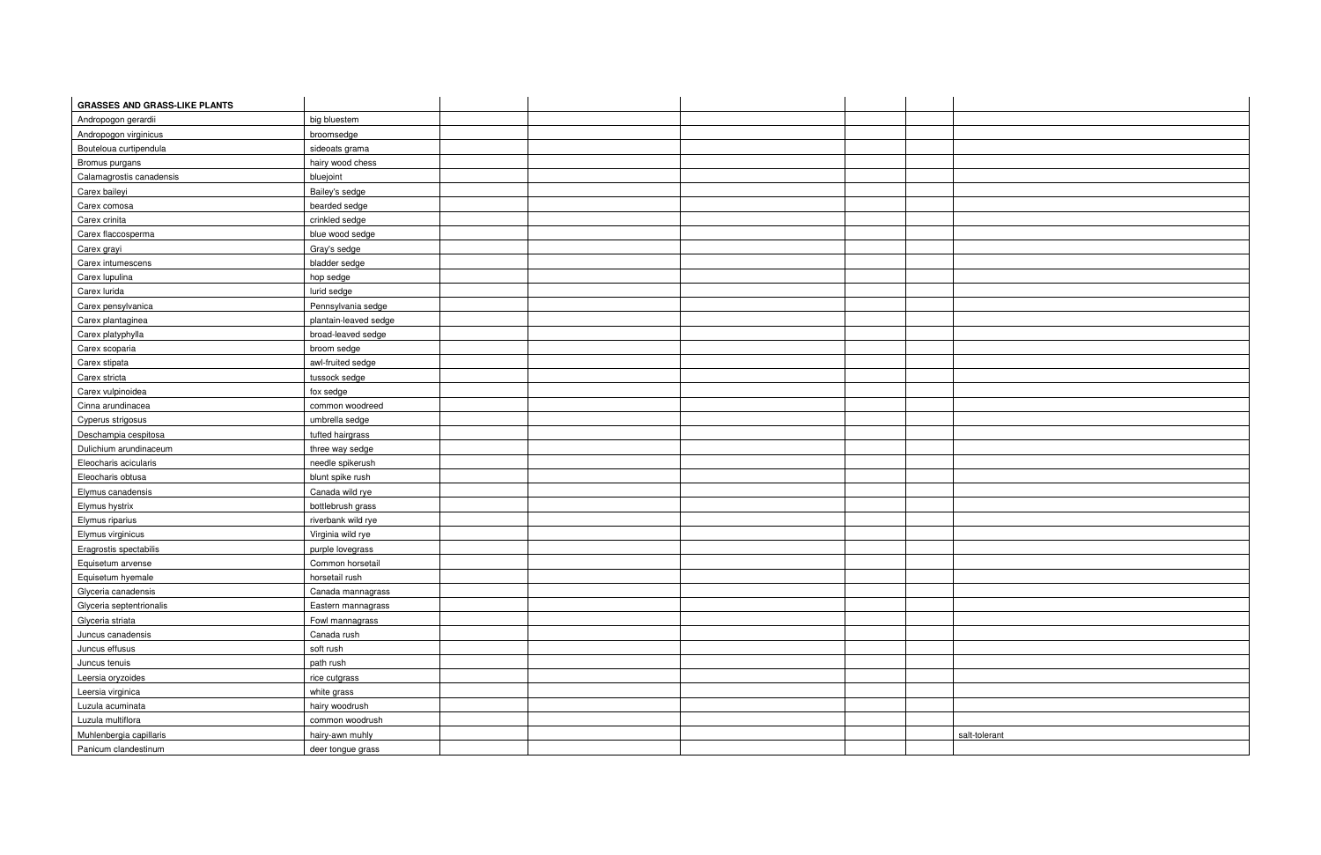| <b>GRASSES AND GRASS-LIKE PLANTS</b> |                       |  |  |               |
|--------------------------------------|-----------------------|--|--|---------------|
| Andropogon gerardii                  | big bluestem          |  |  |               |
| Andropogon virginicus                | broomsedge            |  |  |               |
| Bouteloua curtipendula               | sideoats grama        |  |  |               |
| Bromus purgans                       | hairy wood chess      |  |  |               |
| Calamagrostis canadensis             | bluejoint             |  |  |               |
| Carex baileyi                        | Bailey's sedge        |  |  |               |
| Carex comosa                         | bearded sedge         |  |  |               |
| Carex crinita                        | crinkled sedge        |  |  |               |
| Carex flaccosperma                   | blue wood sedge       |  |  |               |
| Carex grayi                          | Gray's sedge          |  |  |               |
| Carex intumescens                    | bladder sedge         |  |  |               |
| Carex lupulina                       | hop sedge             |  |  |               |
| Carex lurida                         | lurid sedge           |  |  |               |
| Carex pensylvanica                   | Pennsylvania sedge    |  |  |               |
| Carex plantaginea                    | plantain-leaved sedge |  |  |               |
| Carex platyphylla                    | broad-leaved sedge    |  |  |               |
| Carex scoparia                       | broom sedge           |  |  |               |
| Carex stipata                        | awl-fruited sedge     |  |  |               |
| Carex stricta                        | tussock sedge         |  |  |               |
| Carex vulpinoidea                    | fox sedge             |  |  |               |
| Cinna arundinacea                    | common woodreed       |  |  |               |
| Cyperus strigosus                    | umbrella sedge        |  |  |               |
| Deschampia cespitosa                 | tufted hairgrass      |  |  |               |
| Dulichium arundinaceum               | three way sedge       |  |  |               |
| Eleocharis acicularis                | needle spikerush      |  |  |               |
| Eleocharis obtusa                    | blunt spike rush      |  |  |               |
| Elymus canadensis                    | Canada wild rye       |  |  |               |
| Elymus hystrix                       | bottlebrush grass     |  |  |               |
| Elymus riparius                      | riverbank wild rye    |  |  |               |
| Elymus virginicus                    | Virginia wild rye     |  |  |               |
| Eragrostis spectabilis               | purple lovegrass      |  |  |               |
| Equisetum arvense                    | Common horsetail      |  |  |               |
| Equisetum hyemale                    | horsetail rush        |  |  |               |
| Glyceria canadensis                  | Canada mannagrass     |  |  |               |
| Glyceria septentrionalis             | Eastern mannagrass    |  |  |               |
| Glyceria striata                     | Fowl mannagrass       |  |  |               |
| Juncus canadensis                    | Canada rush           |  |  |               |
| Juncus effusus                       | soft rush             |  |  |               |
| Juncus tenuis                        | path rush             |  |  |               |
| Leersia oryzoides                    | rice cutgrass         |  |  |               |
| Leersia virginica                    | white grass           |  |  |               |
| Luzula acuminata                     | hairy woodrush        |  |  |               |
| Luzula multiflora                    | common woodrush       |  |  |               |
| Muhlenbergia capillaris              | hairy-awn muhly       |  |  | salt-tolerant |
| Panicum clandestinum                 | deer tongue grass     |  |  |               |

| alt-tolerant |  |
|--------------|--|
|              |  |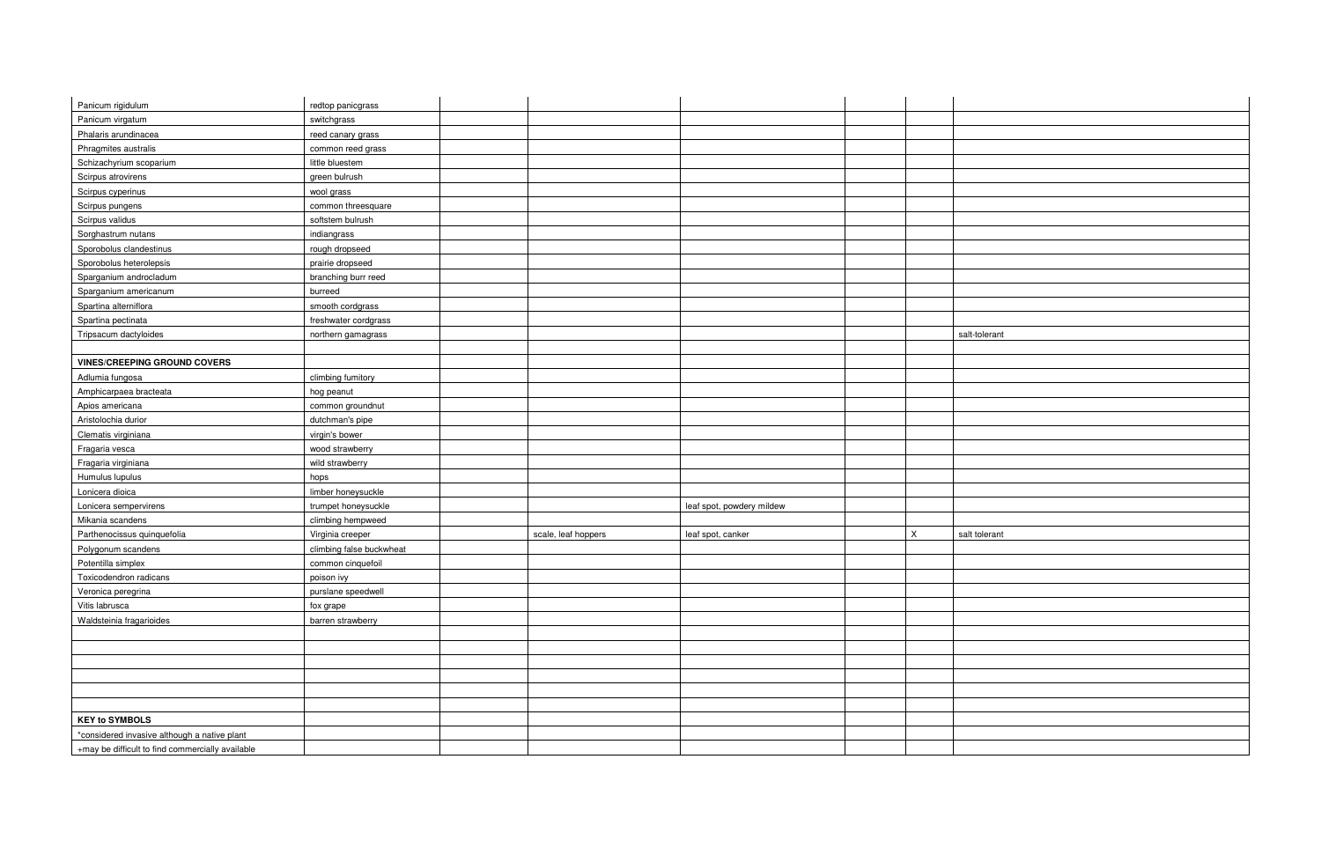| Panicum rigidulum                                | redtop panicgrass        |                     |                           |             |               |
|--------------------------------------------------|--------------------------|---------------------|---------------------------|-------------|---------------|
| Panicum virgatum                                 | switchgrass              |                     |                           |             |               |
| Phalaris arundinacea                             | reed canary grass        |                     |                           |             |               |
| Phragmites australis                             | common reed grass        |                     |                           |             |               |
| Schizachyrium scoparium                          | little bluestem          |                     |                           |             |               |
| Scirpus atrovirens                               | green bulrush            |                     |                           |             |               |
| Scirpus cyperinus                                | wool grass               |                     |                           |             |               |
| Scirpus pungens                                  | common threesquare       |                     |                           |             |               |
| Scirpus validus                                  | softstem bulrush         |                     |                           |             |               |
| Sorghastrum nutans                               | indiangrass              |                     |                           |             |               |
| Sporobolus clandestinus                          | rough dropseed           |                     |                           |             |               |
| Sporobolus heterolepsis                          | prairie dropseed         |                     |                           |             |               |
| Sparganium androcladum                           | branching burr reed      |                     |                           |             |               |
| Sparganium americanum                            | burreed                  |                     |                           |             |               |
| Spartina alterniflora                            | smooth cordgrass         |                     |                           |             |               |
| Spartina pectinata                               | freshwater cordgrass     |                     |                           |             |               |
| Tripsacum dactyloides                            | northern gamagrass       |                     |                           |             | salt-tolerant |
|                                                  |                          |                     |                           |             |               |
| <b>VINES/CREEPING GROUND COVERS</b>              |                          |                     |                           |             |               |
| Adlumia fungosa                                  | climbing fumitory        |                     |                           |             |               |
| Amphicarpaea bracteata                           | hog peanut               |                     |                           |             |               |
| Apios americana                                  | common groundnut         |                     |                           |             |               |
| Aristolochia durior                              | dutchman's pipe          |                     |                           |             |               |
| Clematis virginiana                              | virgin's bower           |                     |                           |             |               |
| Fragaria vesca                                   | wood strawberry          |                     |                           |             |               |
| Fragaria virginiana                              | wild strawberry          |                     |                           |             |               |
| Humulus lupulus                                  | hops                     |                     |                           |             |               |
| Lonicera dioica                                  | limber honeysuckle       |                     |                           |             |               |
| Lonicera sempervirens                            | trumpet honeysuckle      |                     | leaf spot, powdery mildew |             |               |
| Mikania scandens                                 | climbing hempweed        |                     |                           |             |               |
| Parthenocissus quinquefolia                      | Virginia creeper         | scale, leaf hoppers | leaf spot, canker         | $\mathsf X$ | salt tolerant |
| Polygonum scandens                               | climbing false buckwheat |                     |                           |             |               |
| Potentilla simplex                               | common cinquefoil        |                     |                           |             |               |
| Toxicodendron radicans                           | poison ivy               |                     |                           |             |               |
| Veronica peregrina                               | purslane speedwell       |                     |                           |             |               |
| Vitis labrusca                                   | fox grape                |                     |                           |             |               |
| Waldsteinia fragarioides                         | barren strawberry        |                     |                           |             |               |
|                                                  |                          |                     |                           |             |               |
|                                                  |                          |                     |                           |             |               |
|                                                  |                          |                     |                           |             |               |
|                                                  |                          |                     |                           |             |               |
|                                                  |                          |                     |                           |             |               |
|                                                  |                          |                     |                           |             |               |
| <b>KEY to SYMBOLS</b>                            |                          |                     |                           |             |               |
| *considered invasive although a native plant     |                          |                     |                           |             |               |
| +may be difficult to find commercially available |                          |                     |                           |             |               |
|                                                  |                          |                     |                           |             |               |

| salt-tolerant |  |
|---------------|--|
|               |  |
|               |  |
|               |  |
|               |  |
|               |  |
|               |  |
|               |  |
|               |  |
|               |  |
|               |  |
|               |  |
|               |  |
|               |  |
|               |  |
| salt tolerant |  |
|               |  |
|               |  |
|               |  |
|               |  |
|               |  |
|               |  |
|               |  |
|               |  |
|               |  |
|               |  |
|               |  |
|               |  |
|               |  |
|               |  |
|               |  |
|               |  |
|               |  |